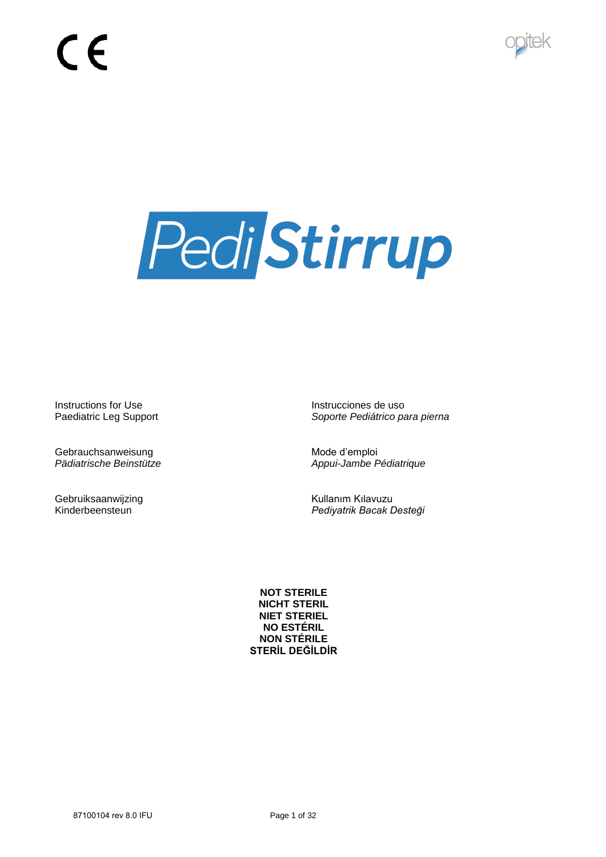



Instructions for Use Instructiones de uso

Gebrauchsanweisung and diemploine and Mode d'emploine d'emploine d'emploine d'emploine d'emploine de la mateix<br>Appui-Jambe Françoise de la mateixe de la mateixe de la mateixe de la mateixe de la mateixe de la mateixe de l

Gebruiksaanwijzing<br>
Kullanım Kılavuzu<br>
Kinderbeensteun<br>
Kullanım Kılavuzu

Paediatric Leg Support *Soporte Pediátrico para pierna*

*Pädiatrische Beinstütze Appui-Jambe Pédiatrique*

**Pediyatrik Bacak Desteği** 

**NOT STERILE NICHT STERIL NIET STERIEL NO ESTÉRIL NON STÉRILE STERİL DEĞİLDİR**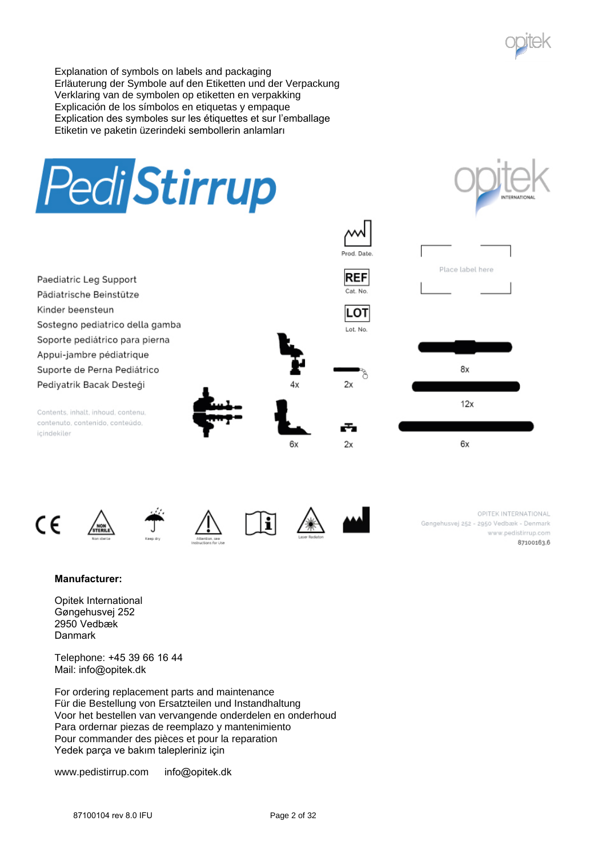

Explanation of symbols on labels and packaging Erläuterung der Symbole auf den Etiketten und der Verpackung Verklaring van de symbolen op etiketten en verpakking Explicación de los símbolos en etiquetas y empaque Explication des symboles sur les étiquettes et sur l'emballage Etiketin ve paketin üzerindeki sembollerin anlamları















OPITEK INTERNATIONAL Gøngehusvej 252 - 2950 Vedbæk - Denmark www.pedistirrup.com 87100163.6

# **Manufacturer:**

Opitek International Gøngehusvej 252 2950 Vedbæk Danmark

Telephone: +45 39 66 16 44 Mail: info@opitek.dk

For ordering replacement parts and maintenance Für die Bestellung von Ersatzteilen und Instandhaltung Voor het bestellen van vervangende onderdelen en onderhoud Para ordernar piezas de reemplazo y mantenimiento Pour commander des pièces et pour la reparation Yedek parça ve bakım talepleriniz için

www.pedistirrup.com info@opitek.dk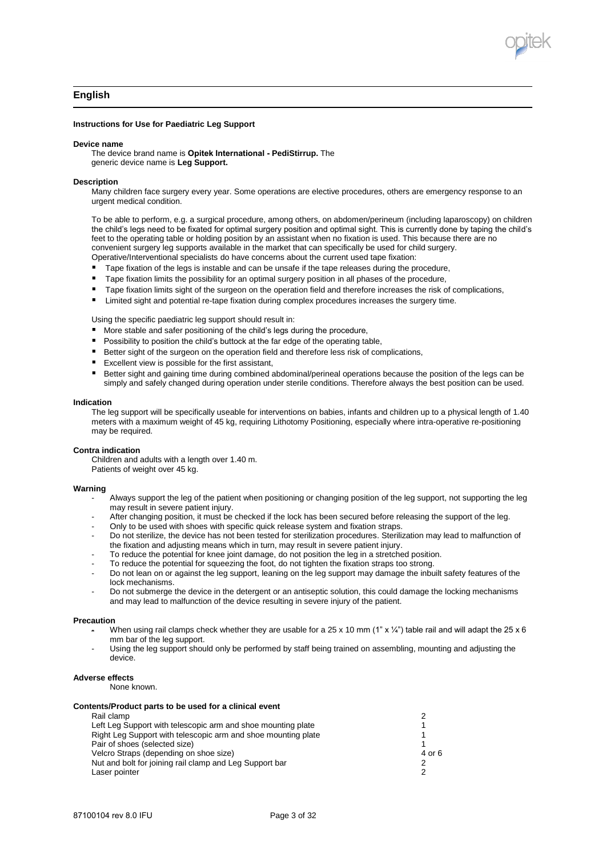

# **English**

## **Instructions for Use for Paediatric Leg Support**

#### **Device name**

The device brand name is **Opitek International - PediStirrup.** The generic device name is **Leg Support.** 

#### **Description**

Many children face surgery every year. Some operations are elective procedures, others are emergency response to an urgent medical condition.

To be able to perform, e.g. a surgical procedure, among others, on abdomen/perineum (including laparoscopy) on children the child's legs need to be fixated for optimal surgery position and optimal sight. This is currently done by taping the child's feet to the operating table or holding position by an assistant when no fixation is used. This because there are no convenient surgery leg supports available in the market that can specifically be used for child surgery.

Operative/Interventional specialists do have concerns about the current used tape fixation:

- Tape fixation of the legs is instable and can be unsafe if the tape releases during the procedure,
- Tape fixation limits the possibility for an optimal surgery position in all phases of the procedure,
- Tape fixation limits sight of the surgeon on the operation field and therefore increases the risk of complications,
- Limited sight and potential re-tape fixation during complex procedures increases the surgery time.

Using the specific paediatric leg support should result in:

- **More stable and safer positioning of the child's legs during the procedure,**
- **Possibility to position the child's buttock at the far edge of the operating table,**
- Better sight of the surgeon on the operation field and therefore less risk of complications,
- **Excellent view is possible for the first assistant,**
- Better sight and gaining time during combined abdominal/perineal operations because the position of the legs can be simply and safely changed during operation under sterile conditions. Therefore always the best position can be used.

#### **Indication**

The leg support will be specifically useable for interventions on babies, infants and children up to a physical length of 1.40 meters with a maximum weight of 45 kg, requiring Lithotomy Positioning, especially where intra-operative re-positioning may be required.

#### **Contra indication**

Children and adults with a length over 1.40 m. Patients of weight over 45 kg.

#### **Warning**

- Always support the leg of the patient when positioning or changing position of the leg support, not supporting the leg may result in severe patient injury.
- After changing position, it must be checked if the lock has been secured before releasing the support of the leg.
- Only to be used with shoes with specific quick release system and fixation straps.
- Do not sterilize, the device has not been tested for sterilization procedures. Sterilization may lead to malfunction of the fixation and adjusting means which in turn, may result in severe patient injury.
- To reduce the potential for knee joint damage, do not position the leg in a stretched position.
- To reduce the potential for squeezing the foot, do not tighten the fixation straps too strong.
- Do not lean on or against the leg support, leaning on the leg support may damage the inbuilt safety features of the lock mechanisms.
- Do not submerge the device in the detergent or an antiseptic solution, this could damage the locking mechanisms and may lead to malfunction of the device resulting in severe injury of the patient.

#### **Precaution**

- When using rail clamps check whether they are usable for a 25 x 10 mm (1" x ¼") table rail and will adapt the 25 x 6 mm bar of the leg support.
- Using the leg support should only be performed by staff being trained on assembling, mounting and adjusting the device.

# **Adverse effects**

None known.

### **Contents/Product parts to be used for a clinical event**

| Rail clamp                                                    |        |
|---------------------------------------------------------------|--------|
| Left Leg Support with telescopic arm and shoe mounting plate  |        |
| Right Leg Support with telescopic arm and shoe mounting plate |        |
| Pair of shoes (selected size)                                 |        |
| Velcro Straps (depending on shoe size)                        | 4 or 6 |
| Nut and bolt for joining rail clamp and Leg Support bar       |        |
| Laser pointer                                                 | ◠      |
|                                                               |        |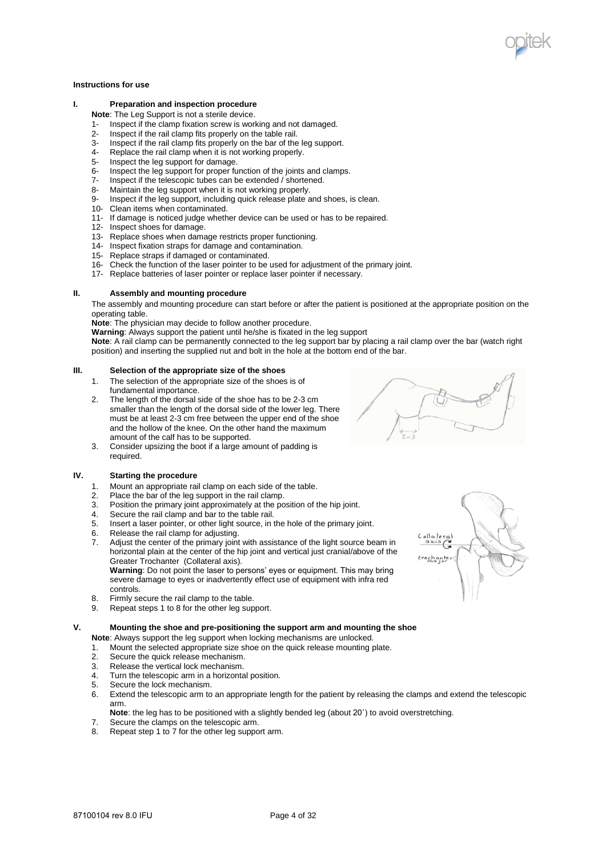# **Instructions for use**

## **I. Preparation and inspection procedure**

**Note**: The Leg Support is not a sterile device.

- Inspect if the clamp fixation screw is working and not damaged.
- 2- Inspect if the rail clamp fits properly on the table rail.
- 3- Inspect if the rail clamp fits properly on the bar of the leg support.<br>4- Replace the rail clamp when it is not working properly.
- Replace the rail clamp when it is not working properly.
- 5- Inspect the leg support for damage.<br>6- Inspect the leg support for proper fu
- 6- Inspect the leg support for proper function of the joints and clamps.<br>7- Inspect if the telescopic tubes can be extended / shortened.
- 7- Inspect if the telescopic tubes can be extended / shortened.
- Maintain the leg support when it is not working properly.
- 9- Inspect if the leg support, including quick release plate and shoes, is clean.
- 10- Clean items when contaminated.
- 11- If damage is noticed judge whether device can be used or has to be repaired.
- 12- Inspect shoes for damage.
- 13- Replace shoes when damage restricts proper functioning.
- 14- Inspect fixation straps for damage and contamination.
- 15- Replace straps if damaged or contaminated.
- 16- Check the function of the laser pointer to be used for adjustment of the primary joint.
- 17- Replace batteries of laser pointer or replace laser pointer if necessary.

## **II. Assembly and mounting procedure**

The assembly and mounting procedure can start before or after the patient is positioned at the appropriate position on the operating table.

**Note**: The physician may decide to follow another procedure.

**Warning**: Always support the patient until he/she is fixated in the leg support

**Note**: A rail clamp can be permanently connected to the leg support bar by placing a rail clamp over the bar (watch right position) and inserting the supplied nut and bolt in the hole at the bottom end of the bar.

## **III. Selection of the appropriate size of the shoes**

- 1. The selection of the appropriate size of the shoes is of fundamental importance.
- 2. The length of the dorsal side of the shoe has to be 2-3 cm smaller than the length of the dorsal side of the lower leg. There must be at least 2-3 cm free between the upper end of the shoe and the hollow of the knee. On the other hand the maximum amount of the calf has to be supported.
- 3. Consider upsizing the boot if a large amount of padding is required.

# **IV. Starting the procedure**

- 1. Mount an appropriate rail clamp on each side of the table.<br>2. Place the bar of the leg support in the rail clamp
- 2. Place the bar of the leg support in the rail clamp.<br>3. Position the primary joint approximately at the po
- Position the primary joint approximately at the position of the hip joint.
- 4. Secure the rail clamp and bar to the table rail.
- 5. Insert a laser pointer, or other light source, in the hole of the primary joint.
- 6. Release the rail clamp for adjusting.<br>7. Adiust the center of the primary joint
- Adjust the center of the primary joint with assistance of the light source beam in horizontal plain at the center of the hip joint and vertical just cranial/above of the Greater Trochanter (Collateral axis)*.*

**Warning**: Do not point the laser to persons' eyes or equipment. This may bring severe damage to eyes or inadvertently effect use of equipment with infra red controls.

- 8. Firmly secure the rail clamp to the table.<br>9. Repeat steps 1 to 8 for the other leg sup
- Repeat steps 1 to 8 for the other leg support.

## **V. Mounting the shoe and pre-positioning the support arm and mounting the shoe**

- **Note**: Always support the leg support when locking mechanisms are unlocked.
- 1. Mount the selected appropriate size shoe on the quick release mounting plate.<br>2. Secure the quick release mechanism.
- 
- 2. Secure the quick release mechanism.<br>3. Release the vertical lock mechanism. Release the vertical lock mechanism.
- 4. Turn the telescopic arm in a horizontal position.<br>5. Secure the lock mechanism.
- 5. Secure the lock mechanism.<br>6. Extend the telescopic arm to
- Extend the telescopic arm to an appropriate length for the patient by releasing the clamps and extend the telescopic arm.
- Note: the leg has to be positioned with a slightly bended leg (about 20<sup>°</sup>) to avoid overstretching.
- 7. Secure the clamps on the telescopic arm.
- 8. Repeat step 1 to 7 for the other leg support arm.



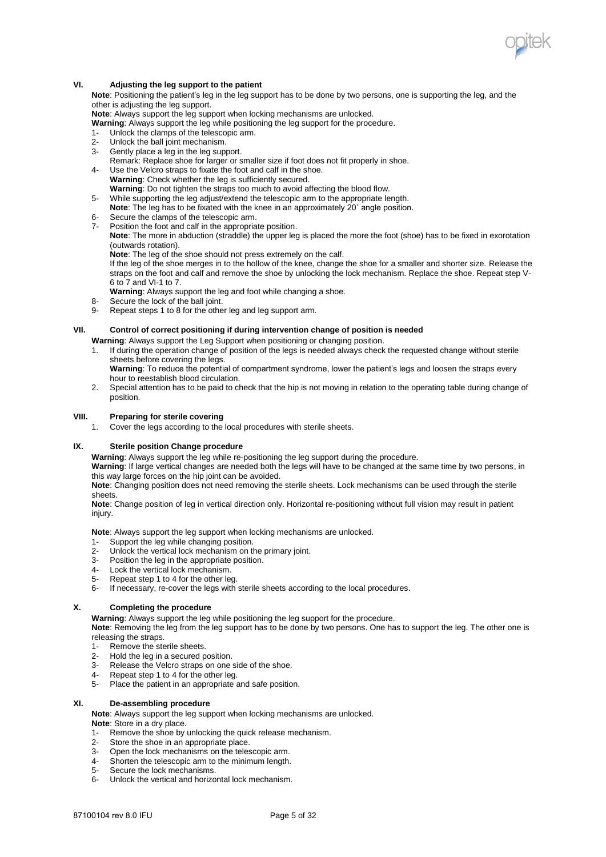

## **VI. Adjusting the leg support to the patient**

**Note**: Positioning the patient's leg in the leg support has to be done by two persons, one is supporting the leg, and the other is adjusting the leg support.

**Note**: Always support the leg support when locking mechanisms are unlocked.

**Warning**: Always support the leg while positioning the leg support for the procedure.

- 1- Unlock the clamps of the telescopic arm.
- 2- Unlock the ball joint mechanism.<br>3- Gently place a leg in the leg supple
- Gently place a leg in the leg support.
- Remark: Replace shoe for larger or smaller size if foot does not fit properly in shoe. 4- Use the Velcro straps to fixate the foot and calf in the shoe.
- **Warning**: Check whether the leg is sufficiently secured.
- **Warning**: Do not tighten the straps too much to avoid affecting the blood flow.
- 5- While supporting the leg adjust/extend the telescopic arm to the appropriate length.
- **Note**: The leg has to be fixated with the knee in an approximately 20˚ angle position.
- Secure the clamps of the telescopic arm.
- Position the foot and calf in the appropriate position. **Note**: The more in abduction (straddle) the upper leg is placed the more the foot (shoe) has to be fixed in exorotation
	- (outwards rotation). **Note**: The leg of the shoe should not press extremely on the calf.

If the leg of the shoe merges in to the hollow of the knee, change the shoe for a smaller and shorter size. Release the straps on the foot and calf and remove the shoe by unlocking the lock mechanism. Replace the shoe. Repeat step V-6 to 7 and VI-1 to 7.

**Warning**: Always support the leg and foot while changing a shoe.

- 8- Secure the lock of the ball joint.
- 9- Repeat steps 1 to 8 for the other leg and leg support arm.

## **VII. Control of correct positioning if during intervention change of position is needed**

**Warning**: Always support the Leg Support when positioning or changing position.

- 1. If during the operation change of position of the legs is needed always check the requested change without sterile sheets before covering the legs.
	- **Warning**: To reduce the potential of compartment syndrome, lower the patient's legs and loosen the straps every hour to reestablish blood circulation.
- 2. Special attention has to be paid to check that the hip is not moving in relation to the operating table during change of position.

## **VIII. Preparing for sterile covering**

1. Cover the legs according to the local procedures with sterile sheets.

## **IX. Sterile position Change procedure**

**Warning**: Always support the leg while re-positioning the leg support during the procedure.

**Warning**: If large vertical changes are needed both the legs will have to be changed at the same time by two persons, in this way large forces on the hip joint can be avoided.

**Note**: Changing position does not need removing the sterile sheets. Lock mechanisms can be used through the sterile sheets.

**Note**: Change position of leg in vertical direction only. Horizontal re-positioning without full vision may result in patient injury.

**Note**: Always support the leg support when locking mechanisms are unlocked.

- 1- Support the leg while changing position.
- 2- Unlock the vertical lock mechanism on the primary joint.
- 3- Position the leg in the appropriate position.<br>4- Lock the vertical lock mechanism
- 4- Lock the vertical lock mechanism.
- 5- Repeat step 1 to 4 for the other leg.
- 6- If necessary, re-cover the legs with sterile sheets according to the local procedures.

## **X. Completing the procedure**

**Warning**: Always support the leg while positioning the leg support for the procedure.

**Note**: Removing the leg from the leg support has to be done by two persons. One has to support the leg. The other one is releasing the straps.

- 1- Remove the sterile sheets.<br>2- Hold the leg in a secured p
- Hold the leg in a secured position.
- 3- Release the Velcro straps on one side of the shoe.<br>4- Repeat step 1 to 4 for the other leg
- 4- Repeat step 1 to 4 for the other leg.<br>5- Place the patient in an appropriate:
- Place the patient in an appropriate and safe position.

## **XI. De-assembling procedure**

**Note**: Always support the leg support when locking mechanisms are unlocked.

**Note**: Store in a dry place.

- 1- Remove the shoe by unlocking the quick release mechanism.
- 2- Store the shoe in an appropriate place.
- 3- Open the lock mechanisms on the telescopic arm.
- 4- Shorten the telescopic arm to the minimum length.
- 5- Secure the lock mechanisms.
- 6- Unlock the vertical and horizontal lock mechanism.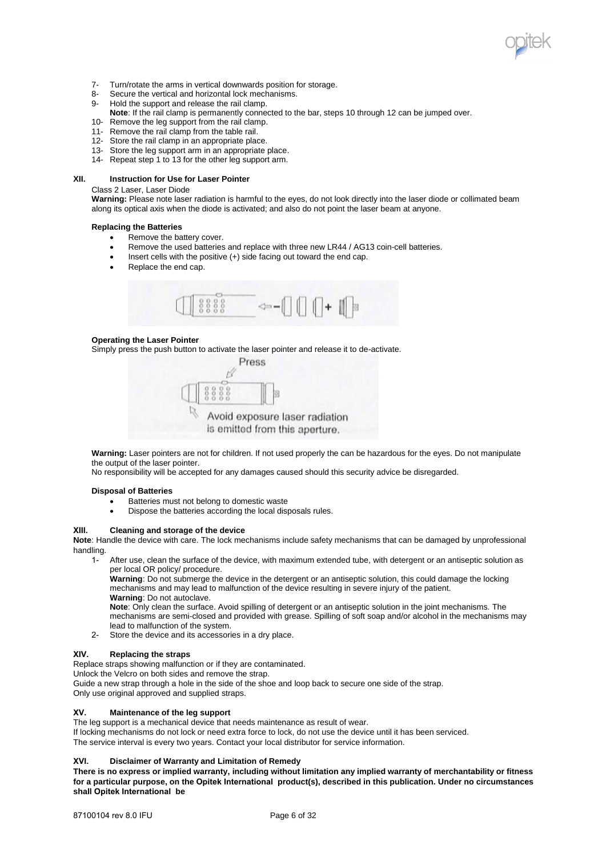

- 7- Turn/rotate the arms in vertical downwards position for storage.<br>8- Secure the vertical and horizontal lock mechanisms.
- 8- Secure the vertical and horizontal lock mechanisms.<br>9- Hold the support and release the rail clamp
- Hold the support and release the rail clamp.
- **Note**: If the rail clamp is permanently connected to the bar, steps 10 through 12 can be jumped over.
- 10- Remove the leg support from the rail clamp.
- 11- Remove the rail clamp from the table rail.
- 12- Store the rail clamp in an appropriate place.
- 13- Store the leg support arm in an appropriate place.
- 14- Repeat step 1 to 13 for the other leg support arm.

### **XII. Instruction for Use for Laser Pointer**

Class 2 Laser, Laser Diode

**Warning:** Please note laser radiation is harmful to the eyes, do not look directly into the laser diode or collimated beam along its optical axis when the diode is activated; and also do not point the laser beam at anyone.

#### **Replacing the Batteries**

- Remove the battery cover.
- Remove the used batteries and replace with three new LR44 / AG13 coin-cell batteries.
- $\bullet$  Insert cells with the positive  $(+)$  side facing out toward the end cap.
- Replace the end cap.



## **Operating the Laser Pointer**

Simply press the push button to activate the laser pointer and release it to de-activate.



**Warning:** Laser pointers are not for children. If not used properly the can be hazardous for the eyes. Do not manipulate the output of the laser pointer.

No responsibility will be accepted for any damages caused should this security advice be disregarded.

## **Disposal of Batteries**

- Batteries must not belong to domestic waste
- Dispose the batteries according the local disposals rules.

#### **XIII. Cleaning and storage of the device**

**Note**: Handle the device with care. The lock mechanisms include safety mechanisms that can be damaged by unprofessional handling.

1- After use, clean the surface of the device, with maximum extended tube, with detergent or an antiseptic solution as per local OR policy/ procedure.

**Warning**: Do not submerge the device in the detergent or an antiseptic solution, this could damage the locking mechanisms and may lead to malfunction of the device resulting in severe injury of the patient. **Warning**: Do not autoclave.

**Note**: Only clean the surface. Avoid spilling of detergent or an antiseptic solution in the joint mechanisms. The mechanisms are semi-closed and provided with grease. Spilling of soft soap and/or alcohol in the mechanisms may lead to malfunction of the system.

2- Store the device and its accessories in a dry place.

## **XIV. Replacing the straps**

Replace straps showing malfunction or if they are contaminated.

Unlock the Velcro on both sides and remove the strap.

Guide a new strap through a hole in the side of the shoe and loop back to secure one side of the strap.

Only use original approved and supplied straps.

## **XV. Maintenance of the leg support**

The leg support is a mechanical device that needs maintenance as result of wear.

If locking mechanisms do not lock or need extra force to lock, do not use the device until it has been serviced. The service interval is every two years. Contact your local distributor for service information.

## **XVI. Disclaimer of Warranty and Limitation of Remedy**

**There is no express or implied warranty, including without limitation any implied warranty of merchantability or fitness for a particular purpose, on the Opitek International product(s), described in this publication. Under no circumstances shall Opitek International be**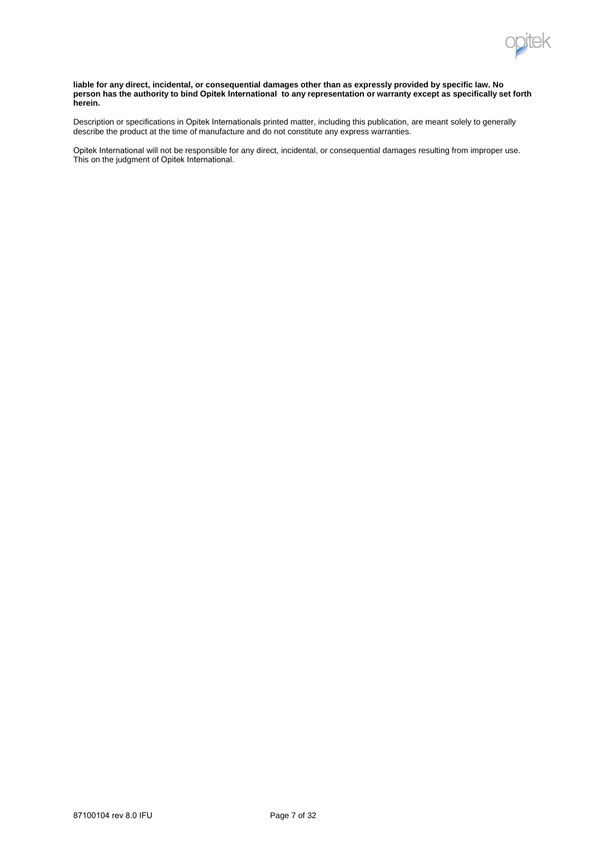

#### **liable for any direct, incidental, or consequential damages other than as expressly provided by specific law. No person has the authority to bind Opitek International to any representation or warranty except as specifically set forth herein.**

Description or specifications in Opitek Internationals printed matter, including this publication, are meant solely to generally describe the product at the time of manufacture and do not constitute any express warranties.

Opitek International will not be responsible for any direct, incidental, or consequential damages resulting from improper use. This on the judgment of Opitek International.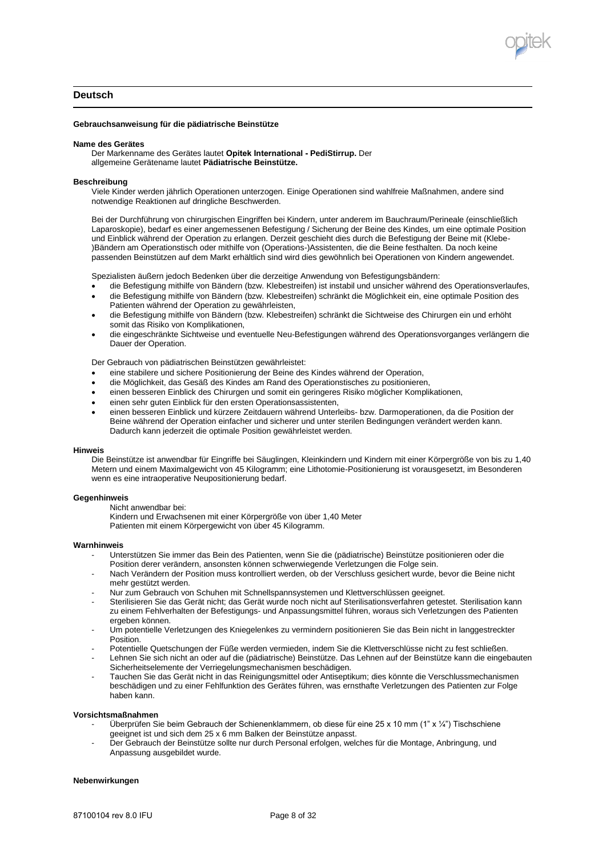

# **Deutsch**

### **Gebrauchsanweisung für die pädiatrische Beinstütze**

#### **Name des Gerätes**

Der Markenname des Gerätes lautet **Opitek International - PediStirrup.** Der allgemeine Gerätename lautet **Pädiatrische Beinstütze.** 

#### **Beschreibung**

Viele Kinder werden jährlich Operationen unterzogen. Einige Operationen sind wahlfreie Maßnahmen, andere sind notwendige Reaktionen auf dringliche Beschwerden.

Bei der Durchführung von chirurgischen Eingriffen bei Kindern, unter anderem im Bauchraum/Perineale (einschließlich Laparoskopie), bedarf es einer angemessenen Befestigung / Sicherung der Beine des Kindes, um eine optimale Position und Einblick während der Operation zu erlangen. Derzeit geschieht dies durch die Befestigung der Beine mit (Klebe- )Bändern am Operationstisch oder mithilfe von (Operations-)Assistenten, die die Beine festhalten. Da noch keine passenden Beinstützen auf dem Markt erhältlich sind wird dies gewöhnlich bei Operationen von Kindern angewendet.

Spezialisten äußern jedoch Bedenken über die derzeitige Anwendung von Befestigungsbändern:

- die Befestigung mithilfe von Bändern (bzw. Klebestreifen) ist instabil und unsicher während des Operationsverlaufes,
- die Befestigung mithilfe von Bändern (bzw. Klebestreifen) schränkt die Möglichkeit ein, eine optimale Position des Patienten während der Operation zu gewährleisten,
- die Befestigung mithilfe von Bändern (bzw. Klebestreifen) schränkt die Sichtweise des Chirurgen ein und erhöht somit das Risiko von Komplikationen,
- die eingeschränkte Sichtweise und eventuelle Neu-Befestigungen während des Operationsvorganges verlängern die Dauer der Operation.

Der Gebrauch von pädiatrischen Beinstützen gewährleistet:

- eine stabilere und sichere Positionierung der Beine des Kindes während der Operation,
- die Möglichkeit, das Gesäß des Kindes am Rand des Operationstisches zu positionieren,
- einen besseren Einblick des Chirurgen und somit ein geringeres Risiko möglicher Komplikationen,
- einen sehr guten Einblick für den ersten Operationsassistenten,
- einen besseren Einblick und kürzere Zeitdauern während Unterleibs- bzw. Darmoperationen, da die Position der Beine während der Operation einfacher und sicherer und unter sterilen Bedingungen verändert werden kann. Dadurch kann jederzeit die optimale Position gewährleistet werden.

#### **Hinweis**

Die Beinstütze ist anwendbar für Eingriffe bei Säuglingen, Kleinkindern und Kindern mit einer Körpergröße von bis zu 1,40 Metern und einem Maximalgewicht von 45 Kilogramm; eine Lithotomie-Positionierung ist vorausgesetzt, im Besonderen wenn es eine intraoperative Neupositionierung bedarf.

#### **Gegenhinweis**

Nicht anwendbar bei:

Kindern und Erwachsenen mit einer Körpergröße von über 1,40 Meter

Patienten mit einem Körpergewicht von über 45 Kilogramm.

#### **Warnhinweis**

- Unterstützen Sie immer das Bein des Patienten, wenn Sie die (pädiatrische) Beinstütze positionieren oder die Position derer verändern, ansonsten können schwerwiegende Verletzungen die Folge sein.
- Nach Verändern der Position muss kontrolliert werden, ob der Verschluss gesichert wurde, bevor die Beine nicht mehr gestützt werden.
- Nur zum Gebrauch von Schuhen mit Schnellspannsystemen und Klettverschlüssen geeignet.
- Sterilisieren Sie das Gerät nicht; das Gerät wurde noch nicht auf Sterilisationsverfahren getestet. Sterilisation kann zu einem Fehlverhalten der Befestigungs- und Anpassungsmittel führen, woraus sich Verletzungen des Patienten ergeben können.
- Um potentielle Verletzungen des Kniegelenkes zu vermindern positionieren Sie das Bein nicht in langgestreckter **Position**
- Potentielle Quetschungen der Füße werden vermieden, indem Sie die Klettverschlüsse nicht zu fest schließen.
- Lehnen Sie sich nicht an oder auf die (pädiatrische) Beinstütze. Das Lehnen auf der Beinstütze kann die eingebauten Sicherheitselemente der Verriegelungsmechanismen beschädigen.
- Tauchen Sie das Gerät nicht in das Reinigungsmittel oder Antiseptikum; dies könnte die Verschlussmechanismen beschädigen und zu einer Fehlfunktion des Gerätes führen, was ernsthafte Verletzungen des Patienten zur Folge haben kann.

#### **Vorsichtsmaßnahmen**

- Überprüfen Sie beim Gebrauch der Schienenklammern, ob diese für eine 25 x 10 mm (1" x ¼") Tischschiene geeignet ist und sich dem 25 x 6 mm Balken der Beinstütze anpasst.
- Der Gebrauch der Beinstütze sollte nur durch Personal erfolgen, welches für die Montage, Anbringung, und Anpassung ausgebildet wurde.

#### **Nebenwirkungen**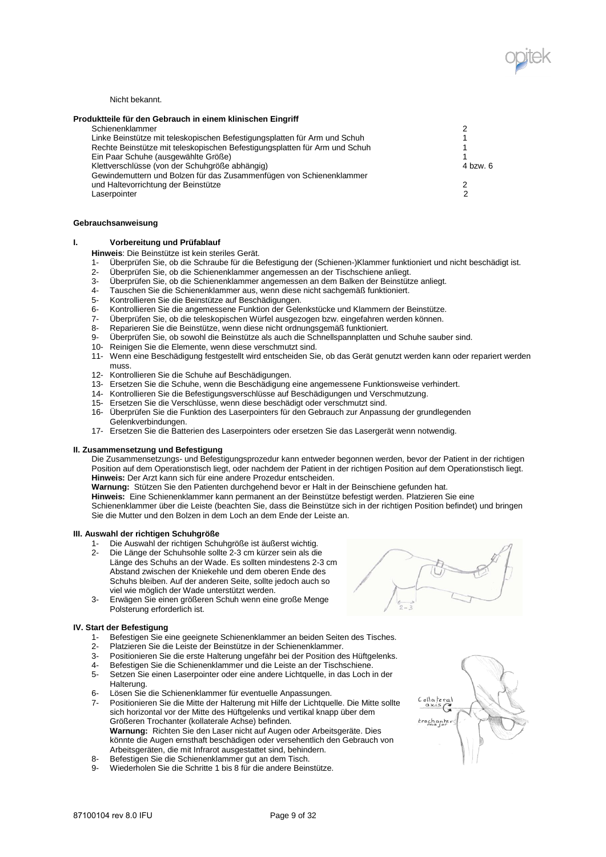

Nicht bekannt.

| Produktteile für den Gebrauch in einem klinischen Eingriff                 |          |
|----------------------------------------------------------------------------|----------|
| Schienenklammer                                                            |          |
| Linke Beinstütze mit teleskopischen Befestigungsplatten für Arm und Schuh  |          |
| Rechte Beinstütze mit teleskopischen Befestigungsplatten für Arm und Schuh |          |
| Ein Paar Schuhe (ausgewählte Größe)                                        |          |
| Klettverschlüsse (von der Schuhgröße abhängig)                             | 4 bzw. 6 |
| Gewindemuttern und Bolzen für das Zusammenfügen von Schienenklammer        |          |
| und Haltevorrichtung der Beinstütze                                        |          |
| Laserpointer                                                               |          |

### **Gebrauchsanweisung**

## **I. Vorbereitung und Prüfablauf**

**Hinweis**: Die Beinstütze ist kein steriles Gerät.

- 1- Überprüfen Sie, ob die Schraube für die Befestigung der (Schienen-)Klammer funktioniert und nicht beschädigt ist.
- 2- Überprüfen Sie, ob die Schienenklammer angemessen an der Tischschiene anliegt.
- 3- Überprüfen Sie, ob die Schienenklammer angemessen an dem Balken der Beinstütze anliegt.
- 4- Tauschen Sie die Schienenklammer aus, wenn diese nicht sachgemäß funktioniert.
- 5- Kontrollieren Sie die Beinstütze auf Beschädigungen.<br>6- Kontrollieren Sie die angemessene Funktion der Gele
- 6- Kontrollieren Sie die angemessene Funktion der Gelenkstücke und Klammern der Beinstütze.
- 7- Überprüfen Sie, ob die teleskopischen Würfel ausgezogen bzw. eingefahren werden können.<br>8- Reparieren Sie die Beinstütze, wenn diese nicht ordnungsgemäß funktioniert.
- Reparieren Sie die Beinstütze, wenn diese nicht ordnungsgemäß funktioniert.
- 9- Überprüfen Sie, ob sowohl die Beinstütze als auch die Schnellspannplatten und Schuhe sauber sind.
- 10- Reinigen Sie die Elemente, wenn diese verschmutzt sind.
- 11- Wenn eine Beschädigung festgestellt wird entscheiden Sie, ob das Gerät genutzt werden kann oder repariert werden muss.
- 12- Kontrollieren Sie die Schuhe auf Beschädigungen.
- 13- Ersetzen Sie die Schuhe, wenn die Beschädigung eine angemessene Funktionsweise verhindert.
- 14- Kontrollieren Sie die Befestigungsverschlüsse auf Beschädigungen und Verschmutzung.
- 15- Ersetzen Sie die Verschlüsse, wenn diese beschädigt oder verschmutzt sind.
- 16- Überprüfen Sie die Funktion des Laserpointers für den Gebrauch zur Anpassung der grundlegenden Gelenkverbindungen.
- 17- Ersetzen Sie die Batterien des Laserpointers oder ersetzen Sie das Lasergerät wenn notwendig.

## **II. Zusammensetzung und Befestigung**

Die Zusammensetzungs- und Befestigungsprozedur kann entweder begonnen werden, bevor der Patient in der richtigen Position auf dem Operationstisch liegt, oder nachdem der Patient in der richtigen Position auf dem Operationstisch liegt. **Hinweis:** Der Arzt kann sich für eine andere Prozedur entscheiden.

**Warnung:** Stützen Sie den Patienten durchgehend bevor er Halt in der Beinschiene gefunden hat.

**Hinweis:** Eine Schienenklammer kann permanent an der Beinstütze befestigt werden. Platzieren Sie eine Schienenklammer über die Leiste (beachten Sie, dass die Beinstütze sich in der richtigen Position befindet) und bringen

Sie die Mutter und den Bolzen in dem Loch an dem Ende der Leiste an.

#### **III. Auswahl der richtigen Schuhgröße**

- 1- Die Auswahl der richtigen Schuhgröße ist äußerst wichtig.<br>2- Die Länge der Schuhsoble sollte 2-3 cm kürzer sein als die
- 2- Die Länge der Schuhsohle sollte 2-3 cm kürzer sein als die Länge des Schuhs an der Wade. Es sollten mindestens 2-3 cm Abstand zwischen der Kniekehle und dem oberen Ende des Schuhs bleiben. Auf der anderen Seite, sollte jedoch auch so viel wie möglich der Wade unterstützt werden.
- 3- Erwägen Sie einen größeren Schuh wenn eine große Menge Polsterung erforderlich ist.

## **IV. Start der Befestigung**

- 1- Befestigen Sie eine geeignete Schienenklammer an beiden Seiten des Tisches.
- 2- Platzieren Sie die Leiste der Beinstütze in der Schienenklammer.<br>3- Positionieren Sie die erste Halterung ungefähr bei der Position der
- Positionieren Sie die erste Halterung ungefähr bei der Position des Hüftgelenks.
- 
- 4- Befestigen Sie die Schienenklammer und die Leiste an der Tischschiene.<br>5- Setzen Sie einen Laserpointer oder eine andere Lichtquelle, in das Loch i Setzen Sie einen Laserpointer oder eine andere Lichtquelle, in das Loch in der Halterung.
- 6- Lösen Sie die Schienenklammer für eventuelle Anpassungen.
- 7- Positionieren Sie die Mitte der Halterung mit Hilfe der Lichtquelle. Die Mitte sollte sich horizontal vor der Mitte des Hüftgelenks und vertikal knapp über dem Größeren Trochanter (kollaterale Achse) befinden. **Warnung:** Richten Sie den Laser nicht auf Augen oder Arbeitsgeräte. Dies könnte die Augen ernsthaft beschädigen oder versehentlich den Gebrauch von Arbeitsgeräten, die mit Infrarot ausgestattet sind, behindern.
- 8- Befestigen Sie die Schienenklammer gut an dem Tisch.
- 9- Wiederholen Sie die Schritte 1 bis 8 für die andere Beinstütze.

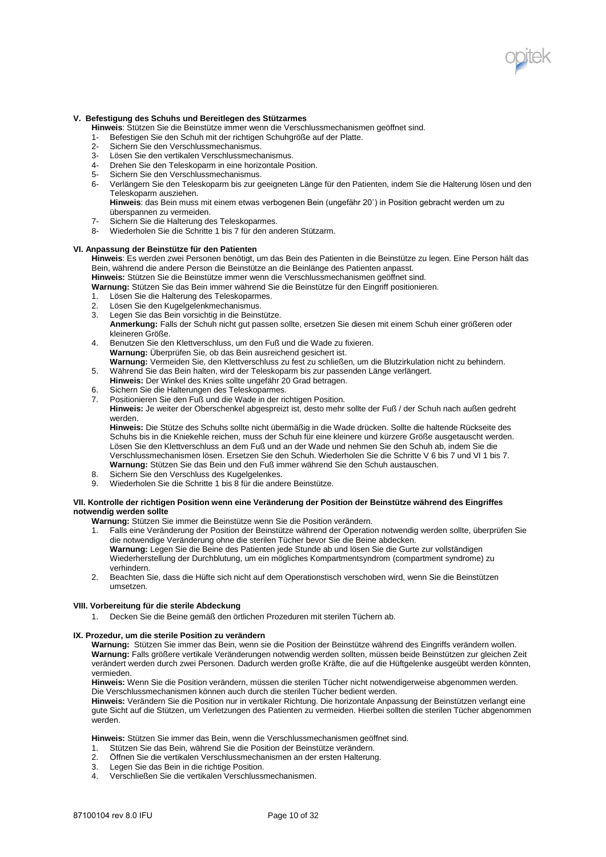

## **V. Befestigung des Schuhs und Bereitlegen des Stützarmes**

**Hinweis**: Stützen Sie die Beinstütze immer wenn die Verschlussmechanismen geöffnet sind.

- 1- Befestigen Sie den Schuh mit der richtigen Schuhgröße auf der Platte.
- 2- Sichern Sie den Verschlussmechanismus.
- 3- Lösen Sie den vertikalen Verschlussmechanismus.
- 4- Drehen Sie den Teleskoparm in eine horizontale Position.
- 5- Sichern Sie den Verschlussmechanismus.
- 6- Verlängern Sie den Teleskoparm bis zur geeigneten Länge für den Patienten, indem Sie die Halterung lösen und den Teleskoparm ausziehen.

**Hinweis**: das Bein muss mit einem etwas verbogenen Bein (ungefähr 20˚) in Position gebracht werden um zu überspannen zu vermeiden.

- 7- Sichern Sie die Halterung des Teleskoparmes.<br>8- Wiederholen Sie die Schritte 1 bis 7 für den an
- Wiederholen Sie die Schritte 1 bis 7 für den anderen Stützarm.

## **VI. Anpassung der Beinstütze für den Patienten**

**Hinweis**: Es werden zwei Personen benötigt, um das Bein des Patienten in die Beinstütze zu legen. Eine Person hält das Bein, während die andere Person die Beinstütze an die Beinlänge des Patienten anpasst.

**Hinweis:** Stützen Sie die Beinstütze immer wenn die Verschlussmechanismen geöffnet sind.

**Warnung:** Stützen Sie das Bein immer während Sie die Beinstütze für den Eingriff positionieren.

- 1. Lösen Sie die Halterung des Teleskoparmes.<br>2. Lösen Sie den Kugelgelenkmechanismus.
- Lösen Sie den Kugelgelenkmechanismus.
- 3. Legen Sie das Bein vorsichtig in die Beinstütze.
- **Anmerkung:** Falls der Schuh nicht gut passen sollte, ersetzen Sie diesen mit einem Schuh einer größeren oder kleineren Größe.
- 4. Benutzen Sie den Klettverschluss, um den Fuß und die Wade zu fixieren. **Warnung:** Überprüfen Sie, ob das Bein ausreichend gesichert ist.
- **Warnung:** Vermeiden Sie, den Klettverschluss zu fest zu schließen, um die Blutzirkulation nicht zu behindern. 5. Während Sie das Bein halten, wird der Teleskoparm bis zur passenden Länge verlängert.
- **Hinweis:** Der Winkel des Knies sollte ungefähr 20 Grad betragen.
- 6. Sichern Sie die Halterungen des Teleskoparmes.<br>7. Positionieren Sie den Fuß und die Wade in der ric
- Positionieren Sie den Fuß und die Wade in der richtigen Position.

**Hinweis:** Je weiter der Oberschenkel abgespreizt ist, desto mehr sollte der Fuß / der Schuh nach außen gedreht werden.

**Hinweis:** Die Stütze des Schuhs sollte nicht übermäßig in die Wade drücken. Sollte die haltende Rückseite des Schuhs bis in die Kniekehle reichen, muss der Schuh für eine kleinere und kürzere Größe ausgetauscht werden. Lösen Sie den Klettverschluss an dem Fuß und an der Wade und nehmen Sie den Schuh ab, indem Sie die Verschlussmechanismen lösen. Ersetzen Sie den Schuh. Wiederholen Sie die Schritte V 6 bis 7 und VI 1 bis 7. **Warnung:** Stützen Sie das Bein und den Fuß immer während Sie den Schuh austauschen.

- 8. Sichern Sie den Verschluss des Kugelgelenkes.
- 9. Wiederholen Sie die Schritte 1 bis 8 für die andere Beinstütze.

### **VII. Kontrolle der richtigen Position wenn eine Veränderung der Position der Beinstütze während des Eingriffes notwendig werden sollte**

**Warnung:** Stützen Sie immer die Beinstütze wenn Sie die Position verändern.

1. Falls eine Veränderung der Position der Beinstütze während der Operation notwendig werden sollte, überprüfen Sie die notwendige Veränderung ohne die sterilen Tücher bevor Sie die Beine abdecken.

**Warnung:** Legen Sie die Beine des Patienten jede Stunde ab und lösen Sie die Gurte zur vollständigen Wiederherstellung der Durchblutung, um ein mögliches Kompartmentsyndrom (compartment syndrome) zu verhindern.

2. Beachten Sie, dass die Hüfte sich nicht auf dem Operationstisch verschoben wird, wenn Sie die Beinstützen umsetzen.

## **VIII. Vorbereitung für die sterile Abdeckung**

1. Decken Sie die Beine gemäß den örtlichen Prozeduren mit sterilen Tüchern ab.

## **IX. Prozedur, um die sterile Position zu verändern**

**Warnung:** Stützen Sie immer das Bein, wenn sie die Position der Beinstütze während des Eingriffs verändern wollen. **Warnung:** Falls größere vertikale Veränderungen notwendig werden sollten, müssen beide Beinstützen zur gleichen Zeit verändert werden durch zwei Personen. Dadurch werden große Kräfte, die auf die Hüftgelenke ausgeübt werden könnten, vermieden.

**Hinweis:** Wenn Sie die Position verändern, müssen die sterilen Tücher nicht notwendigerweise abgenommen werden. Die Verschlussmechanismen können auch durch die sterilen Tücher bedient werden.

**Hinweis:** Verändern Sie die Position nur in vertikaler Richtung. Die horizontale Anpassung der Beinstützen verlangt eine gute Sicht auf die Stützen, um Verletzungen des Patienten zu vermeiden. Hierbei sollten die sterilen Tücher abgenommen werden

**Hinweis:** Stützen Sie immer das Bein, wenn die Verschlussmechanismen geöffnet sind.

- 1. Stützen Sie das Bein, während Sie die Position der Beinstütze verändern.
- 2. Öffnen Sie die vertikalen Verschlussmechanismen an der ersten Halterung.
- 3. Legen Sie das Bein in die richtige Position.
- 4. Verschließen Sie die vertikalen Verschlussmechanismen.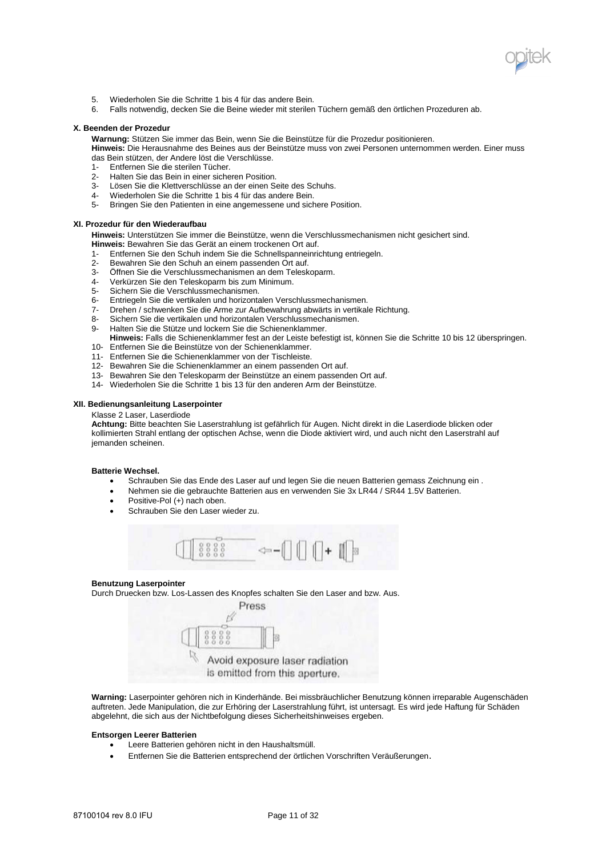

- 5. Wiederholen Sie die Schritte 1 bis 4 für das andere Bein.
- 6. Falls notwendig, decken Sie die Beine wieder mit sterilen Tüchern gemäß den örtlichen Prozeduren ab.

#### **X. Beenden der Prozedur**

**Warnung:** Stützen Sie immer das Bein, wenn Sie die Beinstütze für die Prozedur positionieren.

**Hinweis:** Die Herausnahme des Beines aus der Beinstütze muss von zwei Personen unternommen werden. Einer muss das Bein stützen, der Andere löst die Verschlüsse.

- 1- Entfernen Sie die sterilen Tücher.<br>2- Halten Sie das Bein in einer siche
- 2- Halten Sie das Bein in einer sicheren Position.
- Lösen Sie die Klettverschlüsse an der einen Seite des Schuhs.
- 4- Wiederholen Sie die Schritte 1 bis 4 für das andere Bein.
- 5- Bringen Sie den Patienten in eine angemessene und sichere Position.

### **XI. Prozedur für den Wiederaufbau**

**Hinweis:** Unterstützen Sie immer die Beinstütze, wenn die Verschlussmechanismen nicht gesichert sind.

- **Hinweis:** Bewahren Sie das Gerät an einem trockenen Ort auf.
- 1- Entfernen Sie den Schuh indem Sie die Schnellspanneinrichtung entriegeln.
- Bewahren Sie den Schuh an einem passenden Ort auf.
- 3- Öffnen Sie die Verschlussmechanismen an dem Teleskoparm.
- 4- Verkürzen Sie den Teleskoparm bis zum Minimum.<br>5- Sichern Sie die Verschlussmechanismen.
- Sichern Sie die Verschlussmechanismen.
- 6- Entriegeln Sie die vertikalen und horizontalen Verschlussmechanismen.
- 7- Drehen / schwenken Sie die Arme zur Aufbewahrung abwärts in vertikale Richtung.
- 8- Sichern Sie die vertikalen und horizontalen Verschlussmechanismen.<br>9- Halten Sie die Stütze und lockern Sie die Schienenklammer.
- Halten Sie die Stütze und lockern Sie die Schienenklammer.
- **Hinweis:** Falls die Schienenklammer fest an der Leiste befestigt ist, können Sie die Schritte 10 bis 12 überspringen.
- 10- Entfernen Sie die Beinstütze von der Schienenklammer.
- 11- Entfernen Sie die Schienenklammer von der Tischleiste.
- 12- Bewahren Sie die Schienenklammer an einem passenden Ort auf.
- 13- Bewahren Sie den Teleskoparm der Beinstütze an einem passenden Ort auf.
- 14- Wiederholen Sie die Schritte 1 bis 13 für den anderen Arm der Beinstütze.

#### **XII. Bedienungsanleitung Laserpointer**

#### Klasse 2 Laser, Laserdiode

**Achtung:** Bitte beachten Sie Laserstrahlung ist gefährlich für Augen. Nicht direkt in die Laserdiode blicken oder kollimierten Strahl entlang der optischen Achse, wenn die Diode aktiviert wird, und auch nicht den Laserstrahl auf jemanden scheinen.

#### **Batterie Wechsel.**

- Schrauben Sie das Ende des Laser auf und legen Sie die neuen Batterien gemass Zeichnung ein .
- Nehmen sie die gebrauchte Batterien aus en verwenden Sie 3x LR44 / SR44 1.5V Batterien.
- $\bullet$  Positive-Pol  $(+)$  nach oben.
- Schrauben Sie den Laser wieder zu.



#### **Benutzung Laserpointer**

Durch Druecken bzw. Los-Lassen des Knopfes schalten Sie den Laser and bzw. Aus.



**Warning:** Laserpointer gehören nich in Kinderhände. Bei missbräuchlicher Benutzung können irreparable Augenschäden auftreten. Jede Manipulation, die zur Erhöring der Laserstrahlung führt, ist untersagt. Es wird jede Haftung für Schäden abgelehnt, die sich aus der Nichtbefolgung dieses Sicherheitshinweises ergeben.

## **Entsorgen Leerer Batterien**

- Leere Batterien gehören nicht in den Haushaltsmüll.
- Entfernen Sie die Batterien entsprechend der örtlichen Vorschriften Veräußerungen.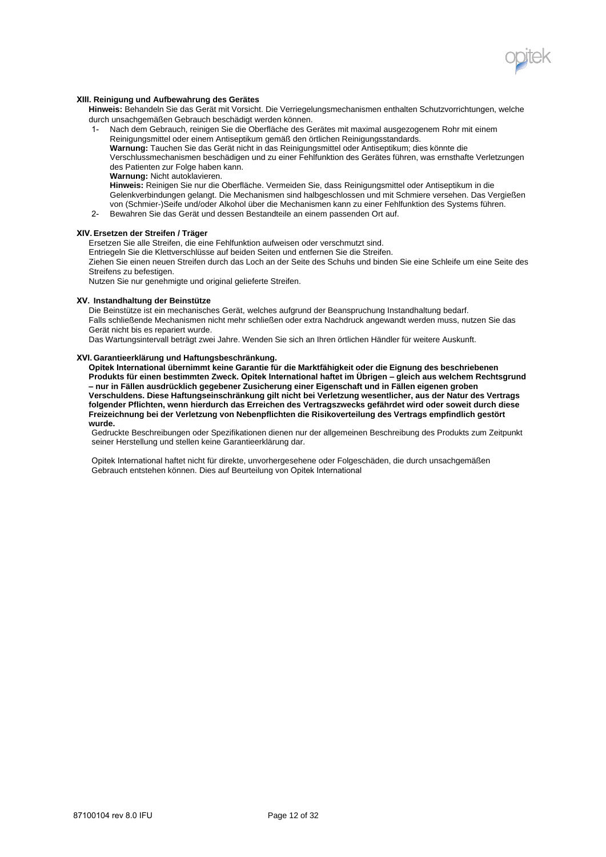

### **XIII. Reinigung und Aufbewahrung des Gerätes**

**Hinweis:** Behandeln Sie das Gerät mit Vorsicht. Die Verriegelungsmechanismen enthalten Schutzvorrichtungen, welche durch unsachgemäßen Gebrauch beschädigt werden können.

1- Nach dem Gebrauch, reinigen Sie die Oberfläche des Gerätes mit maximal ausgezogenem Rohr mit einem Reinigungsmittel oder einem Antiseptikum gemäß den örtlichen Reinigungsstandards.

**Warnung:** Tauchen Sie das Gerät nicht in das Reinigungsmittel oder Antiseptikum; dies könnte die Verschlussmechanismen beschädigen und zu einer Fehlfunktion des Gerätes führen, was ernsthafte Verletzungen des Patienten zur Folge haben kann.

**Warnung:** Nicht autoklavieren.

**Hinweis:** Reinigen Sie nur die Oberfläche. Vermeiden Sie, dass Reinigungsmittel oder Antiseptikum in die Gelenkverbindungen gelangt. Die Mechanismen sind halbgeschlossen und mit Schmiere versehen. Das Vergießen von (Schmier-)Seife und/oder Alkohol über die Mechanismen kann zu einer Fehlfunktion des Systems führen.

2- Bewahren Sie das Gerät und dessen Bestandteile an einem passenden Ort auf.

#### **XIV. Ersetzen der Streifen / Träger**

Ersetzen Sie alle Streifen, die eine Fehlfunktion aufweisen oder verschmutzt sind.

Entriegeln Sie die Klettverschlüsse auf beiden Seiten und entfernen Sie die Streifen.

Ziehen Sie einen neuen Streifen durch das Loch an der Seite des Schuhs und binden Sie eine Schleife um eine Seite des Streifens zu befestigen.

Nutzen Sie nur genehmigte und original gelieferte Streifen.

#### **XV. Instandhaltung der Beinstütze**

Die Beinstütze ist ein mechanisches Gerät, welches aufgrund der Beanspruchung Instandhaltung bedarf. Falls schließende Mechanismen nicht mehr schließen oder extra Nachdruck angewandt werden muss, nutzen Sie das Gerät nicht bis es repariert wurde.

Das Wartungsintervall beträgt zwei Jahre. Wenden Sie sich an Ihren örtlichen Händler für weitere Auskunft.

#### **XVI. Garantieerklärung und Haftungsbeschränkung.**

**Opitek International übernimmt keine Garantie für die Marktfähigkeit oder die Eignung des beschriebenen Produkts für einen bestimmten Zweck. Opitek International haftet im Übrigen – gleich aus welchem Rechtsgrund – nur in Fällen ausdrücklich gegebener Zusicherung einer Eigenschaft und in Fällen eigenen groben Verschuldens. Diese Haftungseinschränkung gilt nicht bei Verletzung wesentlicher, aus der Natur des Vertrags folgender Pflichten, wenn hierdurch das Erreichen des Vertragszwecks gefährdet wird oder soweit durch diese Freizeichnung bei der Verletzung von Nebenpflichten die Risikoverteilung des Vertrags empfindlich gestört wurde.**

Gedruckte Beschreibungen oder Spezifikationen dienen nur der allgemeinen Beschreibung des Produkts zum Zeitpunkt seiner Herstellung und stellen keine Garantieerklärung dar.

Opitek International haftet nicht für direkte, unvorhergesehene oder Folgeschäden, die durch unsachgemäßen Gebrauch entstehen können. Dies auf Beurteilung von Opitek International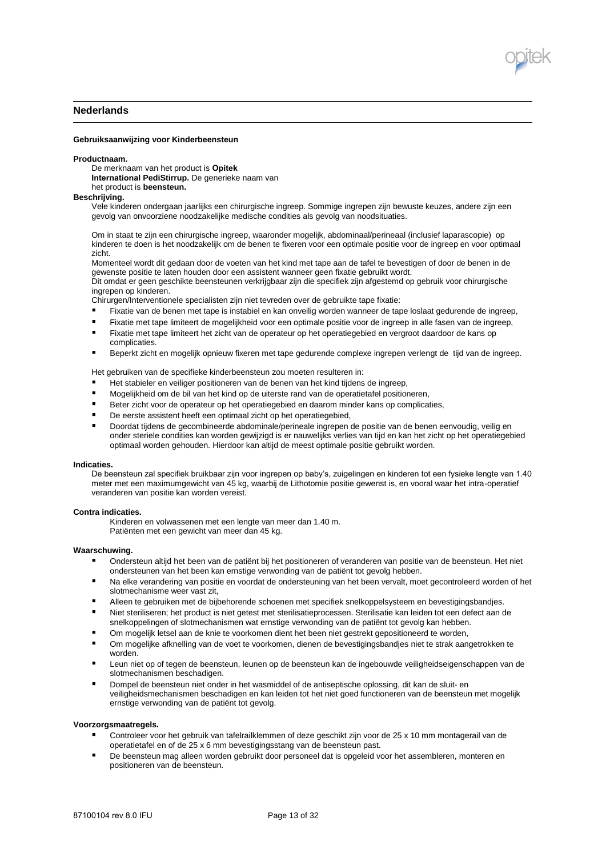

# **Nederlands**

#### **Gebruiksaanwijzing voor Kinderbeensteun**

#### **Productnaam.**

De merknaam van het product is **Opitek International PediStirrup.** De generieke naam van het product is **beensteun.** 

#### **Beschrijving.**

Vele kinderen ondergaan jaarlijks een chirurgische ingreep. Sommige ingrepen zijn bewuste keuzes, andere zijn een gevolg van onvoorziene noodzakelijke medische condities als gevolg van noodsituaties.

Om in staat te zijn een chirurgische ingreep, waaronder mogelijk, abdominaal/perineaal (inclusief laparascopie) op kinderen te doen is het noodzakelijk om de benen te fixeren voor een optimale positie voor de ingreep en voor optimaal zicht.

Momenteel wordt dit gedaan door de voeten van het kind met tape aan de tafel te bevestigen of door de benen in de gewenste positie te laten houden door een assistent wanneer geen fixatie gebruikt wordt.

Dit omdat er geen geschikte beensteunen verkrijgbaar zijn die specifiek zijn afgestemd op gebruik voor chirurgische ingrepen op kinderen.

Chirurgen/Interventionele specialisten zijn niet tevreden over de gebruikte tape fixatie:

- Fixatie van de benen met tape is instabiel en kan onveilig worden wanneer de tape loslaat gedurende de ingreep,
- Fixatie met tape limiteert de mogelijkheid voor een optimale positie voor de ingreep in alle fasen van de ingreep,<br>Eixatie met tape limiteert het zicht van de eperateur en het operatiegebied en vergreet daardoor de kans en
- Fixatie met tape limiteert het zicht van de operateur op het operatiegebied en vergroot daardoor de kans op complicaties.
- Beperkt zicht en mogelijk opnieuw fixeren met tape gedurende complexe ingrepen verlengt de tijd van de ingreep.

Het gebruiken van de specifieke kinderbeensteun zou moeten resulteren in:

- Het stabieler en veiliger positioneren van de benen van het kind tijdens de ingreep,
- Mogelijkheid om de bil van het kind op de uiterste rand van de operatietafel positioneren,
- Beter zicht voor de operateur op het operatiegebied en daarom minder kans op complicaties,
- De eerste assistent heeft een optimaal zicht op het operatiegebied,
- Doordat tijdens de gecombineerde abdominale/perineale ingrepen de positie van de benen eenvoudig, veilig en onder steriele condities kan worden gewijzigd is er nauwelijks verlies van tijd en kan het zicht op het operatiegebied optimaal worden gehouden. Hierdoor kan altijd de meest optimale positie gebruikt worden.

#### **Indicaties.**

De beensteun zal specifiek bruikbaar zijn voor ingrepen op baby's, zuigelingen en kinderen tot een fysieke lengte van 1.40 meter met een maximumgewicht van 45 kg, waarbij de Lithotomie positie gewenst is, en vooral waar het intra-operatief veranderen van positie kan worden vereist.

## **Contra indicaties.**

Kinderen en volwassenen met een lengte van meer dan 1.40 m. Patiënten met een gewicht van meer dan 45 kg.

## **Waarschuwing.**

- Ondersteun altijd het been van de patiënt bij het positioneren of veranderen van positie van de beensteun. Het niet ondersteunen van het been kan ernstige verwonding van de patiënt tot gevolg hebben.
- Na elke verandering van positie en voordat de ondersteuning van het been vervalt, moet gecontroleerd worden of het slotmechanisme weer vast zit,
- Alleen te gebruiken met de bijbehorende schoenen met specifiek snelkoppelsysteem en bevestigingsbandjes.
- Niet steriliseren; het product is niet getest met sterilisatieprocessen. Sterilisatie kan leiden tot een defect aan de snelkoppelingen of slotmechanismen wat ernstige verwonding van de patiënt tot gevolg kan hebben.
- Om mogelijk letsel aan de knie te voorkomen dient het been niet gestrekt gepositioneerd te worden,
- Om mogelijke afknelling van de voet te voorkomen, dienen de bevestigingsbandjes niet te strak aangetrokken te worden.
- Leun niet op of tegen de beensteun, leunen op de beensteun kan de ingebouwde veiligheidseigenschappen van de slotmechanismen beschadigen.
- Dompel de beensteun niet onder in het wasmiddel of de antiseptische oplossing, dit kan de sluit- en veiligheidsmechanismen beschadigen en kan leiden tot het niet goed functioneren van de beensteun met mogelijk ernstige verwonding van de patiënt tot gevolg.

#### **Voorzorgsmaatregels.**

- Controleer voor het gebruik van tafelrailklemmen of deze geschikt zijn voor de 25 x 10 mm montagerail van de operatietafel en of de 25 x 6 mm bevestigingsstang van de beensteun past.
- De beensteun mag alleen worden gebruikt door personeel dat is opgeleid voor het assembleren, monteren en positioneren van de beensteun.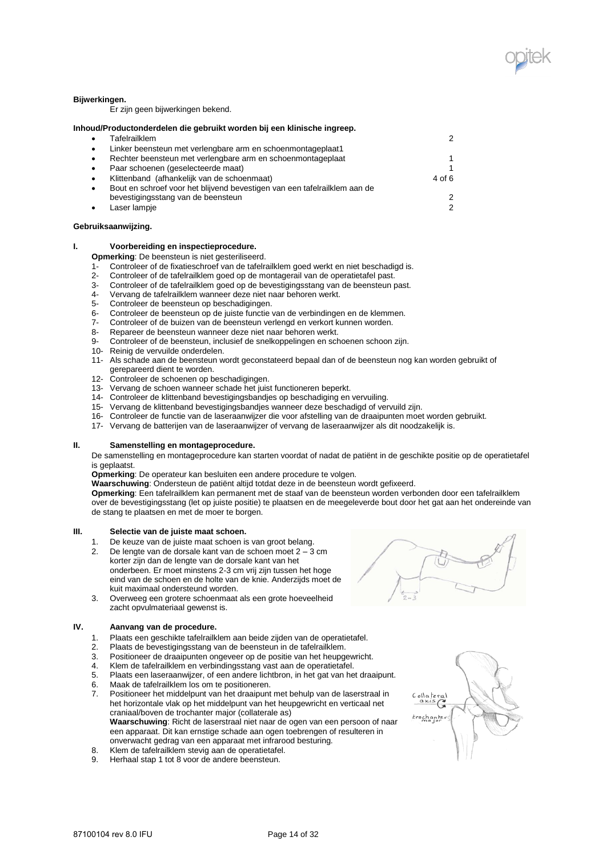

## **Bijwerkingen.**

Er zijn geen bijwerkingen bekend.

|   | Inhoud/Productonderdelen die gebruikt worden bij een klinische ingreep.   |                |
|---|---------------------------------------------------------------------------|----------------|
| ٠ | Tafelrailklem                                                             | 2              |
| ٠ | Linker beensteun met verlengbare arm en schoenmontageplaat1               |                |
| ٠ | Rechter beensteun met verlengbare arm en schoenmontageplaat               | 1              |
| ٠ | Paar schoenen (geselecteerde maat)                                        | 1              |
| ٠ | Klittenband (afhankelijk van de schoenmaat)                               | 4 of 6         |
| ٠ | Bout en schroef voor het blijvend bevestigen van een tafelrailklem aan de |                |
|   | bevestigingsstang van de beensteun                                        | 2              |
| ٠ | Laser lampje                                                              | $\mathfrak{p}$ |
|   |                                                                           |                |

## **Gebruiksaanwijzing.**

### **I. Voorbereiding en inspectieprocedure.**

**Opmerking**: De beensteun is niet gesteriliseerd.

- 1- Controleer of de fixatieschroef van de tafelrailklem goed werkt en niet beschadigd is.<br>2- Controleer of de tafelrailklem goed op de montagerail van de operatietafel past
- 2- Controleer of de tafelrailklem goed op de montagerail van de operatietafel past.
- 3- Controleer of de tafelrailklem goed op de bevestigingsstang van de beensteun past.
- 4- Vervang de tafelrailklem wanneer deze niet naar behoren werkt.
- 5- Controleer de beensteun op beschadigingen.
- 6- Controleer de beensteun op de juiste functie van de verbindingen en de klemmen.
- 7- Controleer of de buizen van de beensteun verlengd en verkort kunnen worden.
- Repareer de beensteun wanneer deze niet naar behoren werkt.
- 9- Controleer of de beensteun, inclusief de snelkoppelingen en schoenen schoon zijn.
- 10- Reinig de vervuilde onderdelen.
- 11- Als schade aan de beensteun wordt geconstateerd bepaal dan of de beensteun nog kan worden gebruikt of gerepareerd dient te worden.
- 12- Controleer de schoenen op beschadigingen.
- 13- Vervang de schoen wanneer schade het juist functioneren beperkt.
- 14- Controleer de klittenband bevestigingsbandjes op beschadiging en vervuiling.
- 15- Vervang de klittenband bevestigingsbandjes wanneer deze beschadigd of vervuild zijn.
- 16- Controleer de functie van de laseraanwijzer die voor afstelling van de draaipunten moet worden gebruikt.
- 17- Vervang de batterijen van de laseraanwijzer of vervang de laseraanwijzer als dit noodzakelijk is.

#### **II. Samenstelling en montageprocedure.**

De samenstelling en montageprocedure kan starten voordat of nadat de patiënt in de geschikte positie op de operatietafel is geplaatst.

**Opmerking**: De operateur kan besluiten een andere procedure te volgen.

**Waarschuwing**: Ondersteun de patiënt altijd totdat deze in de beensteun wordt gefixeerd.

**Opmerking**: Een tafelrailklem kan permanent met de staaf van de beensteun worden verbonden door een tafelrailklem over de bevestigingsstang (let op juiste positie) te plaatsen en de meegeleverde bout door het gat aan het ondereinde van de stang te plaatsen en met de moer te borgen.

## **III. Selectie van de juiste maat schoen.**

- 1. De keuze van de juiste maat schoen is van groot belang.<br>2. De lengte van de dorsale kant van de schoen moet  $2 3$
- 2. De lengte van de dorsale kant van de schoen moet 2 3 cm korter zijn dan de lengte van de dorsale kant van het onderbeen. Er moet minstens 2-3 cm vrij zijn tussen het hoge eind van de schoen en de holte van de knie. Anderzijds moet de kuit maximaal ondersteund worden.
- 3. Overweeg een grotere schoenmaat als een grote hoeveelheid zacht opvulmateriaal gewenst is.

## **IV. Aanvang van de procedure.**

- 1. Plaats een geschikte tafelrailklem aan beide zijden van de operatietafel.
- 2. Plaats de bevestigingsstang van de beensteun in de tafelrailklem.
- 3. Positioneer de draaipunten ongeveer op de positie van het heupgewricht.<br>4. Klem de tafelrailklem en verbindingsstang vast aan de operatietafel
- 4. Klem de tafelrailklem en verbindingsstang vast aan de operatietafel.
- 5. Plaats een laseraanwijzer, of een andere lichtbron, in het gat van het draaipunt.
- 6. Maak de tafelrailklem los om te positioneren.
- 7. Positioneer het middelpunt van het draaipunt met behulp van de laserstraal in het horizontale vlak op het middelpunt van het heupgewricht en verticaal net craniaal/boven de trochanter major (collaterale as) **Waarschuwing**: Richt de laserstraal niet naar de ogen van een persoon of naar een apparaat. Dit kan ernstige schade aan ogen toebrengen of resulteren in onverwacht gedrag van een apparaat met infrarood besturing.
- 8. Klem de tafelrailklem stevig aan de operatietafel.
- 9. Herhaal stap 1 tot 8 voor de andere beensteun.

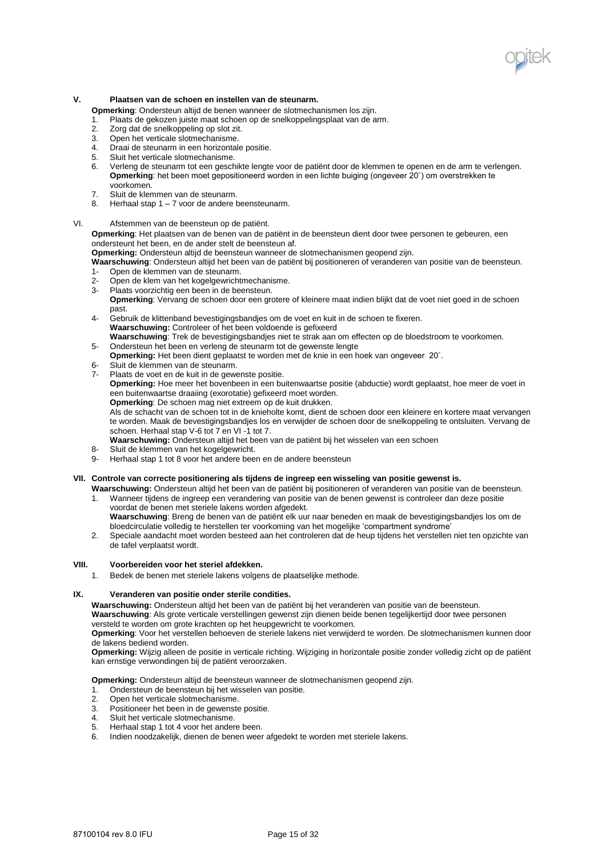

## **V. Plaatsen van de schoen en instellen van de steunarm.**

**Opmerking**: Ondersteun altijd de benen wanneer de slotmechanismen los zijn.

- 1. Plaats de gekozen juiste maat schoen op de snelkoppelingsplaat van de arm.
- 2. Zorg dat de snelkoppeling op slot zit.
- 3. Open het verticale slotmechanisme.
- 4. Draai de steunarm in een horizontale positie.
- 5. Sluit het verticale slotmechanisme.
- 6. Verleng de steunarm tot een geschikte lengte voor de patiënt door de klemmen te openen en de arm te verlengen. **Opmerking**: het been moet gepositioneerd worden in een lichte buiging (ongeveer 20˚) om overstrekken te voorkomen.
- 7. Sluit de klemmen van de steunarm.
- 8. Herhaal stap 1 7 voor de andere beensteunarm.
- VI. Afstemmen van de beensteun op de patiënt.

**Opmerking**: Het plaatsen van de benen van de patiënt in de beensteun dient door twee personen te gebeuren, een ondersteunt het been, en de ander stelt de beensteun af.

**Opmerking:** Ondersteun altijd de beensteun wanneer de slotmechanismen geopend zijn.

**Waarschuwing**: Ondersteun altijd het been van de patiënt bij positioneren of veranderen van positie van de beensteun.

- 1- Open de klemmen van de steunarm.
- 2- Open de klem van het kogelgewrichtmechanisme.
- 3- Plaats voorzichtig een been in de beensteun.
- **Opmerking**: Vervang de schoen door een grotere of kleinere maat indien blijkt dat de voet niet goed in de schoen past.
- 4- Gebruik de klittenband bevestigingsbandjes om de voet en kuit in de schoen te fixeren. **Waarschuwing:** Controleer of het been voldoende is gefixeerd **Waarschuwing**: Trek de bevestigingsbandjes niet te strak aan om effecten op de bloedstroom te voorkomen.
- 5- Ondersteun het been en verleng de steunarm tot de gewenste lengte
- **Opmerking:** Het been dient geplaatst te worden met de knie in een hoek van ongeveer 20˚.
- 6- Sluit de klemmen van de steunarm.<br>7- Plaats de voet en de kuit in de gewe
- Plaats de voet en de kuit in de gewenste positie. **Opmerking:** Hoe meer het bovenbeen in een buitenwaartse positie (abductie) wordt geplaatst, hoe meer de voet in een buitenwaartse draaiing (exorotatie) gefixeerd moet worden. **Opmerking**: De schoen mag niet extreem op de kuit drukken.

Als de schacht van de schoen tot in de knieholte komt, dient de schoen door een kleinere en kortere maat vervangen te worden. Maak de bevestigingsbandjes los en verwijder de schoen door de snelkoppeling te ontsluiten. Vervang de schoen. Herhaal stap V-6 tot 7 en VI -1 tot 7.

**Waarschuwing:** Ondersteun altijd het been van de patiënt bij het wisselen van een schoen

- 8- Sluit de klemmen van het kogelgewricht.
- 9- Herhaal stap 1 tot 8 voor het andere been en de andere beensteun

#### **VII. Controle van correcte positionering als tijdens de ingreep een wisseling van positie gewenst is.**

**Waarschuwing:** Ondersteun altijd het been van de patiënt bij positioneren of veranderen van positie van de beensteun. 1. Wanneer tijdens de ingreep een verandering van positie van de benen gewenst is controleer dan deze positie voordat de benen met steriele lakens worden afgedekt.

- **Waarschuwing**: Breng de benen van de patiënt elk uur naar beneden en maak de bevestigingsbandjes los om de bloedcirculatie volledig te herstellen ter voorkoming van het mogelijke 'compartment syndrome'
- 2. Speciale aandacht moet worden besteed aan het controleren dat de heup tijdens het verstellen niet ten opzichte van de tafel verplaatst wordt.

### **VIII. Voorbereiden voor het steriel afdekken.**

1. Bedek de benen met steriele lakens volgens de plaatselijke methode.

## **IX. Veranderen van positie onder sterile condities.**

**Waarschuwing:** Ondersteun altijd het been van de patiënt bij het veranderen van positie van de beensteun. **Waarschuwing**: Als grote verticale verstellingen gewenst zijn dienen beide benen tegelijkertijd door twee personen versteld te worden om grote krachten op het heupgewricht te voorkomen.

**Opmerking**: Voor het verstellen behoeven de steriele lakens niet verwijderd te worden. De slotmechanismen kunnen door de lakens bediend worden.

**Opmerking:** Wijzig alleen de positie in verticale richting. Wijziging in horizontale positie zonder volledig zicht op de patiënt kan ernstige verwondingen bij de patiënt veroorzaken.

**Opmerking:** Ondersteun altijd de beensteun wanneer de slotmechanismen geopend zijn.

- 1. Ondersteun de beensteun bij het wisselen van positie.
- 2. Open het verticale slotmechanisme.<br>3. Positioneer het been in de gewenste
- 3. Positioneer het been in de gewenste positie.<br>4. Sluit het verticale slotmechanisme.
- Sluit het verticale slotmechanisme.
- 5. Herhaal stap 1 tot 4 voor het andere been.
- 6. Indien noodzakelijk, dienen de benen weer afgedekt te worden met steriele lakens.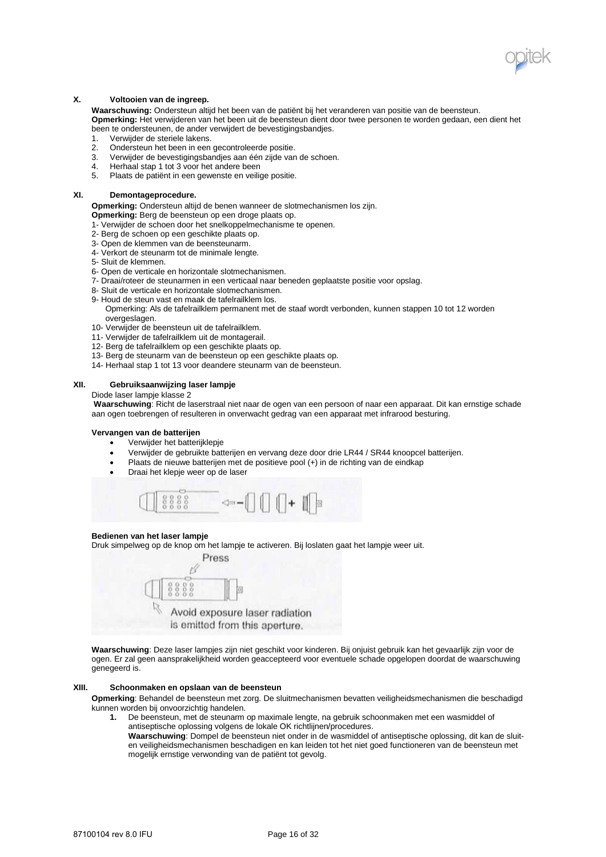

## **X. Voltooien van de ingreep.**

**Waarschuwing:** Ondersteun altijd het been van de patiënt bij het veranderen van positie van de beensteun. **Opmerking:** Het verwijderen van het been uit de beensteun dient door twee personen te worden gedaan, een dient het been te ondersteunen, de ander verwijdert de bevestigingsbandjes.

- 1. Verwijder de steriele lakens.
- 2. Ondersteun het been in een gecontroleerde positie.
- 3. Verwijder de bevestigingsbandjes aan één zijde van de schoen.
- 4. Herhaal stap 1 tot 3 voor het andere been<br>5. Plaats de patiënt in een gewenste en veilig
- Plaats de patiënt in een gewenste en veilige positie.

# **XI. Demontageprocedure.**

**Opmerking:** Ondersteun altijd de benen wanneer de slotmechanismen los zijn.

- **Opmerking:** Berg de beensteun op een droge plaats op.
- 1- Verwijder de schoen door het snelkoppelmechanisme te openen.
- 2- Berg de schoen op een geschikte plaats op.
- 3- Open de klemmen van de beensteunarm.
- 4- Verkort de steunarm tot de minimale lengte.
- 5- Sluit de klemmen.
- 6- Open de verticale en horizontale slotmechanismen.
- 7- Draai/roteer de steunarmen in een verticaal naar beneden geplaatste positie voor opslag.
- 8- Sluit de verticale en horizontale slotmechanismen.
- 9- Houd de steun vast en maak de tafelrailklem los. Opmerking: Als de tafelrailklem permanent met de staaf wordt verbonden, kunnen stappen 10 tot 12 worden
- overgeslagen.
- 10- Verwijder de beensteun uit de tafelrailklem.
- 11- Verwijder de tafelrailklem uit de montagerail.
- 12- Berg de tafelrailklem op een geschikte plaats op.
- 13- Berg de steunarm van de beensteun op een geschikte plaats op.
- 14- Herhaal stap 1 tot 13 voor deandere steunarm van de beensteun.

#### **XII. Gebruiksaanwijzing laser lampje**

Diode laser lampje klasse 2

**Waarschuwing**: Richt de laserstraal niet naar de ogen van een persoon of naar een apparaat. Dit kan ernstige schade aan ogen toebrengen of resulteren in onverwacht gedrag van een apparaat met infrarood besturing.

## **Vervangen van de batterijen**

- Verwijder het batterijklepje
- Verwijder de gebruikte batterijen en vervang deze door drie LR44 / SR44 knoopcel batterijen.
- Plaats de nieuwe batterijen met de positieve pool (+) in de richting van de eindkap
- Draai het klepje weer op de laser



#### **Bedienen van het laser lampje**

Druk simpelweg op de knop om het lampje te activeren. Bij loslaten gaat het lampje weer uit.



**Waarschuwing**: Deze laser lampjes zijn niet geschikt voor kinderen. Bij onjuist gebruik kan het gevaarlijk zijn voor de ogen. Er zal geen aansprakelijkheid worden geaccepteerd voor eventuele schade opgelopen doordat de waarschuwing genegeerd is.

### **XIII. Schoonmaken en opslaan van de beensteun**

**Opmerking**: Behandel de beensteun met zorg. De sluitmechanismen bevatten veiligheidsmechanismen die beschadigd kunnen worden bij onvoorzichtig handelen.

- **1.** De beensteun, met de steunarm op maximale lengte, na gebruik schoonmaken met een wasmiddel of antiseptische oplossing volgens de lokale OK richtlijnen/procedures.
	- **Waarschuwing**: Dompel de beensteun niet onder in de wasmiddel of antiseptische oplossing, dit kan de sluiten veiligheidsmechanismen beschadigen en kan leiden tot het niet goed functioneren van de beensteun met mogelijk ernstige verwonding van de patiënt tot gevolg.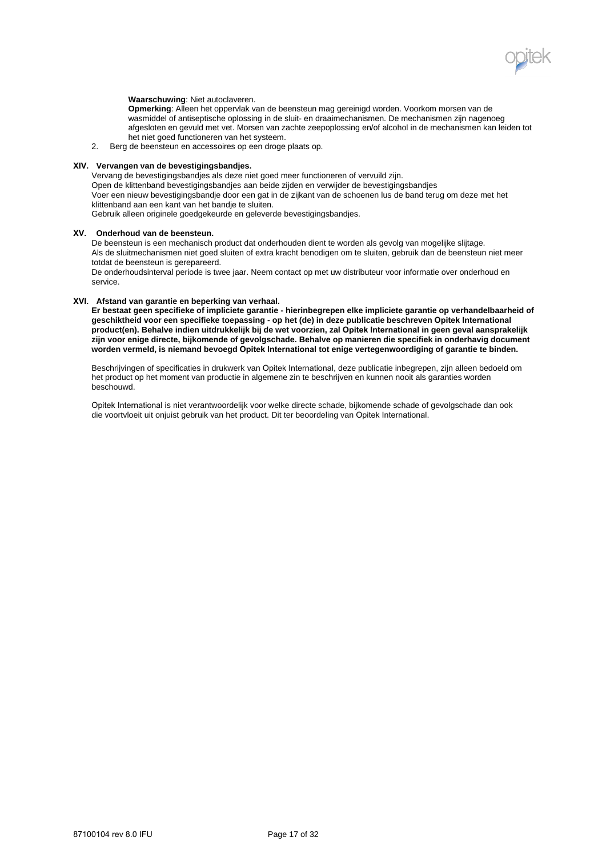

### **Waarschuwing**: Niet autoclaveren.

**Opmerking**: Alleen het oppervlak van de beensteun mag gereinigd worden. Voorkom morsen van de wasmiddel of antiseptische oplossing in de sluit- en draaimechanismen. De mechanismen zijn nagenoeg afgesloten en gevuld met vet. Morsen van zachte zeepoplossing en/of alcohol in de mechanismen kan leiden tot het niet goed functioneren van het systeem.

2. Berg de beensteun en accessoires op een droge plaats op.

## **XIV. Vervangen van de bevestigingsbandjes.**

Vervang de bevestigingsbandjes als deze niet goed meer functioneren of vervuild zijn. Open de klittenband bevestigingsbandjes aan beide zijden en verwijder de bevestigingsbandjes Voer een nieuw bevestigingsbandje door een gat in de zijkant van de schoenen lus de band terug om deze met het klittenband aan een kant van het bandje te sluiten.

Gebruik alleen originele goedgekeurde en geleverde bevestigingsbandjes.

### **XV. Onderhoud van de beensteun.**

De beensteun is een mechanisch product dat onderhouden dient te worden als gevolg van mogelijke slijtage. Als de sluitmechanismen niet goed sluiten of extra kracht benodigen om te sluiten, gebruik dan de beensteun niet meer totdat de beensteun is gerepareerd.

De onderhoudsinterval periode is twee jaar. Neem contact op met uw distributeur voor informatie over onderhoud en service.

## **XVI. Afstand van garantie en beperking van verhaal.**

**Er bestaat geen specifieke of impliciete garantie - hierinbegrepen elke impliciete garantie op verhandelbaarheid of geschiktheid voor een specifieke toepassing - op het (de) in deze publicatie beschreven Opitek International product(en). Behalve indien uitdrukkelijk bij de wet voorzien, zal Opitek International in geen geval aansprakelijk zijn voor enige directe, bijkomende of gevolgschade. Behalve op manieren die specifiek in onderhavig document worden vermeld, is niemand bevoegd Opitek International tot enige vertegenwoordiging of garantie te binden.**

Beschrijvingen of specificaties in drukwerk van Opitek International, deze publicatie inbegrepen, zijn alleen bedoeld om het product op het moment van productie in algemene zin te beschrijven en kunnen nooit als garanties worden beschouwd.

Opitek International is niet verantwoordelijk voor welke directe schade, bijkomende schade of gevolgschade dan ook die voortvloeit uit onjuist gebruik van het product. Dit ter beoordeling van Opitek International.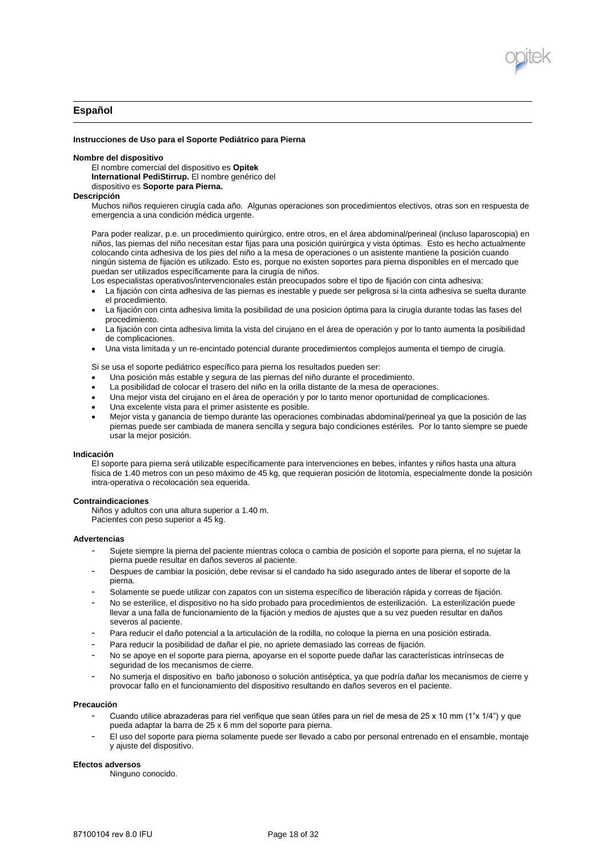

# **Español**

#### **Instrucciones de Uso para el Soporte Pediátrico para Pierna**

#### **Nombre del dispositivo**

El nombre comercial del dispositivo es **Opitek International PediStirrup.** El nombre genérico del

dispositivo es **Soporte para Pierna.** 

### **Descripción**

Muchos niños requieren cirugía cada año. Algunas operaciones son procedimientos electivos, otras son en respuesta de emergencia a una condición médica urgente.

Para poder realizar, p.e. un procedimiento quirúrgico, entre otros, en el área abdominal/perineal (incluso laparoscopia) en niños, las piernas del niño necesitan estar fijas para una posición quirúrgica y vista óptimas. Esto es hecho actualmente colocando cinta adhesiva de los pies del niño a la mesa de operaciones o un asistente mantiene la posición cuando ningún sistema de fijación es utilizado. Esto es, porque no existen soportes para pierna disponibles en el mercado que puedan ser utilizados específicamente para la cirugía de niños.

Los especialistas operativos/intervencionales están preocupados sobre el tipo de fijación con cinta adhesiva:

- La fijación con cinta adhesiva de las piernas es inestable y puede ser peligrosa si la cinta adhesiva se suelta durante el procedimiento.
- La fijación con cinta adhesiva limita la posibilidad de una posicion óptima para la cirugía durante todas las fases del procedimiento.
- La fijación con cinta adhesiva limita la vista del cirujano en el área de operación y por lo tanto aumenta la posibilidad de complicaciones.
- Una vista limitada y un re-encintado potencial durante procedimientos complejos aumenta el tiempo de cirugía.

Si se usa el soporte pediátrico específico para pierna los resultados pueden ser:

- Una posición más estable y segura de las piernas del niño durante el procedimiento.
- La posibilidad de colocar el trasero del niño en la orilla distante de la mesa de operaciones.
- Una mejor vista del cirujano en el área de operación y por lo tanto menor oportunidad de complicaciones.
- Una excelente vista para el primer asistente es posible.
- Mejor vista y ganancia de tiempo durante las operaciones combinadas abdominal/perineal ya que la posición de las piernas puede ser cambiada de manera sencilla y segura bajo condiciones estériles. Por lo tanto siempre se puede usar la mejor posición.

#### **Indicación**

El soporte para pierna será utilizable específicamente para intervenciones en bebes, infantes y niños hasta una altura física de 1.40 metros con un peso máximo de 45 kg, que requieran posición de litotomía, especialmente donde la posición intra-operativa o recolocación sea equerida.

#### **Contraindicaciones**

Niños y adultos con una altura superior a 1.40 m. Pacientes con peso superior a 45 kg.

#### **Advertencias**

- Sujete siempre la pierna del paciente mientras coloca o cambia de posición el soporte para pierna, el no sujetar la pierna puede resultar en daños severos al paciente.
- Despues de cambiar la posición, debe revisar si el candado ha sido asegurado antes de liberar el soporte de la pierna.
- Solamente se puede utilizar con zapatos con un sistema específico de liberación rápida y correas de fijación.
- No se esterilice, el dispositivo no ha sido probado para procedimientos de esterilización. La esterilización puede llevar a una falla de funcionamiento de la fijación y medios de ajustes que a su vez pueden resultar en daños severos al paciente.
- Para reducir el daño potencial a la articulación de la rodilla, no coloque la pierna en una posición estirada.
- Para reducir la posibilidad de dañar el pie, no apriete demasiado las correas de fijación.
- No se apoye en el soporte para pierna, apoyarse en el soporte puede dañar las características intrínsecas de seguridad de los mecanismos de cierre.
- No sumerja el dispositivo en baño jabonoso o solución antiséptica, ya que podría dañar los mecanismos de cierre y provocar fallo en el funcionamiento del dispositivo resultando en daños severos en el paciente.

### **Precaución**

- Cuando utilice abrazaderas para riel verifique que sean útiles para un riel de mesa de 25 x 10 mm (1"x 1/4") y que pueda adaptar la barra de 25 x 6 mm del soporte para pierna.
- El uso del soporte para pierna solamente puede ser llevado a cabo por personal entrenado en el ensamble, montaje y ajuste del dispositivo.

#### **Efectos adversos**

Ninguno conocido.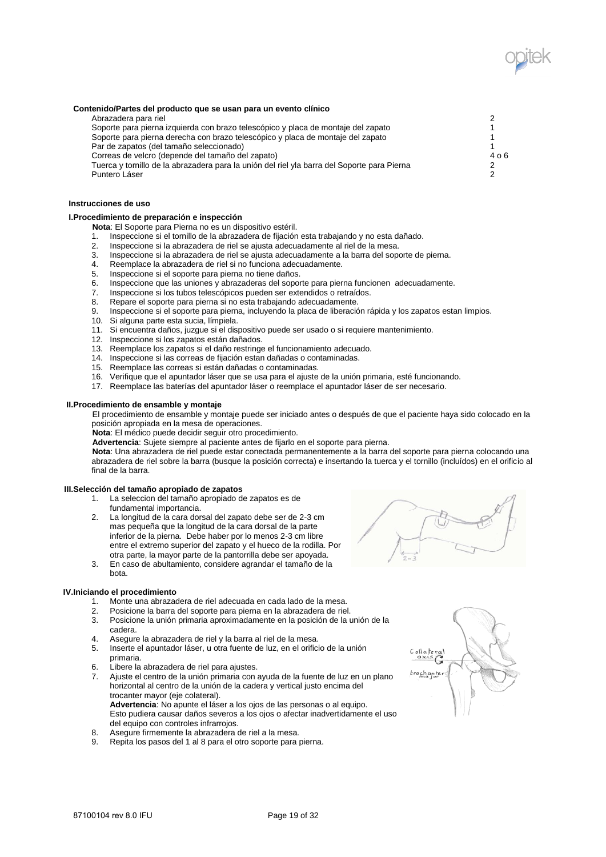

## **Contenido/Partes del producto que se usan para un evento clínico**

Abrazadera para riel<br>Soporte para pierna izquierda con brazo telescópico y placa de montaie del zapato 2000 e 2000 1000 1000 1000 1 Soporte para pierna izquierda con brazo telescópico y placa de montaje del zapato 1 Soporte para pierna derecha con brazo telescópico y placa de montaje del zapato 1 Par de zapatos (del tamaño seleccionado) e a contra el termino de la contra el termino de la contra el termino de la contra el termino de la contra el termino de la contra el termino de la contra el termino de la contra el Correas de velcro (depende del tamaño del zapato)<br>Tuerca y tornillo de la abrazadera para la unión del riel vla barra del Soporte para Pierna (44%) en la consta Tuerca y tornillo de la abrazadera para la unión del riel yla barra del Soporte para Pierna 2 Puntero Láser

#### **Instrucciones de uso**

## **I.Procedimiento de preparación e inspección**

- **Nota**: El Soporte para Pierna no es un dispositivo estéril.
- 1. Inspeccione si el tornillo de la abrazadera de fijación esta trabajando y no esta dañado.
- 2. Inspeccione si la abrazadera de riel se ajusta adecuadamente al riel de la mesa.
- 3. Inspeccione si la abrazadera de riel se ajusta adecuadamente a la barra del soporte de pierna.
- 4. Reemplace la abrazadera de riel si no funciona adecuadamente.<br>5. Inspeccione si el soporte para pierna no tiene daños.
- 5. Inspeccione si el soporte para pierna no tiene daños.<br>6. Inspeccione que las uniones y abrazaderas del soporte
- Inspeccione que las uniones y abrazaderas del soporte para pierna funcionen adecuadamente.
- 7. Inspeccione si los tubos telescópicos pueden ser extendidos o retraídos.<br>8. Repare el soporte para pierna si no esta trabajando adecuadamente
- Repare el soporte para pierna si no esta trabajando adecuadamente.
- 9. Inspeccione si el soporte para pierna, incluyendo la placa de liberación rápida y los zapatos estan limpios.<br>10. Si alguna parte esta sucia. límpiela.
- Si alguna parte esta sucia, límpiela.
- 11. Si encuentra daños, juzgue si el dispositivo puede ser usado o si requiere mantenimiento.
- 12. Inspeccione si los zapatos están dañados.
- 13. Reemplace los zapatos si el daño restringe el funcionamiento adecuado.
- 14. Inspeccione si las correas de fijación estan dañadas o contaminadas.
- 15. Reemplace las correas si están dañadas o contaminadas.
- 16. Verifique que el apuntador láser que se usa para el ajuste de la unión primaria, esté funcionando.
- 17. Reemplace las baterías del apuntador láser o reemplace el apuntador láser de ser necesario.

#### **II.Procedimiento de ensamble y montaje**

El procedimiento de ensamble y montaje puede ser iniciado antes o después de que el paciente haya sido colocado en la posición apropiada en la mesa de operaciones.

**Nota**: El médico puede decidir seguir otro procedimiento.

**Advertencia**: Sujete siempre al paciente antes de fijarlo en el soporte para pierna.

**Nota**: Una abrazadera de riel puede estar conectada permanentemente a la barra del soporte para pierna colocando una abrazadera de riel sobre la barra (busque la posición correcta) e insertando la tuerca y el tornillo (incluídos) en el orificio al final de la barra.

#### **III.Selección del tamaño apropiado de zapatos**

- 1. La seleccion del tamaño apropiado de zapatos es de fundamental importancia.
- 2. La longitud de la cara dorsal del zapato debe ser de 2-3 cm mas pequeña que la longitud de la cara dorsal de la parte inferior de la pierna. Debe haber por lo menos 2-3 cm libre entre el extremo superior del zapato y el hueco de la rodilla. Por otra parte, la mayor parte de la pantorrilla debe ser apoyada.
- 3. En caso de abultamiento, considere agrandar el tamaño de la bota.

### **IV.Iniciando el procedimiento**

- 1. Monte una abrazadera de riel adecuada en cada lado de la mesa.<br>2. Posicione la barra del soporte para pierna en la abrazadera de riel
- 2. Posicione la barra del soporte para pierna en la abrazadera de riel.
- 3. Posicione la unión primaria aproximadamente en la posición de la unión de la cadera.
- 4. Asegure la abrazadera de riel y la barra al riel de la mesa.
- 5. Inserte el apuntador láser, u otra fuente de luz, en el orificio de la unión primaria.
- 6. Libere la abrazadera de riel para ajustes.
- 7. Ajuste el centro de la unión primaria con ayuda de la fuente de luz en un plano horizontal al centro de la unión de la cadera y vertical justo encima del trocanter mayor (eje colateral). **Advertencia**: No apunte el láser a los ojos de las personas o al equipo. Esto pudiera causar daños severos a los ojos o afectar inadvertidamente el uso
- del equipo con controles infrarrojos. 8. Asegure firmemente la abrazadera de riel a la mesa.
- 9. Repita los pasos del 1 al 8 para el otro soporte para pierna.



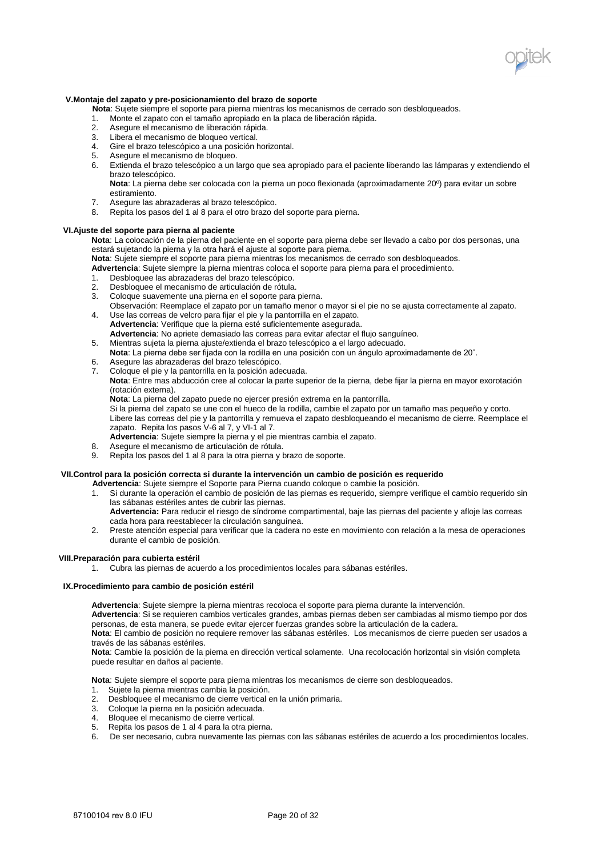

## **V.Montaje del zapato y pre-posicionamiento del brazo de soporte**

**Nota**: Sujete siempre el soporte para pierna mientras los mecanismos de cerrado son desbloqueados.

- 1. Monte el zapato con el tamaño apropiado en la placa de liberación rápida.
- 2. Asegure el mecanismo de liberación rápida.
- 3. Libera el mecanismo de bloqueo vertical.
- 4. Gire el brazo telescópico a una posición horizontal.
- 5. Asegure el mecanismo de bloqueo.<br>6. Extienda el brazo telescónico a un l
- Extienda el brazo telescópico a un largo que sea apropiado para el paciente liberando las lámparas y extendiendo el brazo telescópico.

**Nota**: La pierna debe ser colocada con la pierna un poco flexionada (aproximadamente 20º) para evitar un sobre estiramiento.

- 7. Asegure las abrazaderas al brazo telescópico.
- 8. Repita los pasos del 1 al 8 para el otro brazo del soporte para pierna.

### **VI.Ajuste del soporte para pierna al paciente**

**Nota**: La colocación de la pierna del paciente en el soporte para pierna debe ser llevado a cabo por dos personas, una estará sujetando la pierna y la otra hará el ajuste al soporte para pierna.

**Nota**: Sujete siempre el soporte para pierna mientras los mecanismos de cerrado son desbloqueados.

**Advertencia**: Sujete siempre la pierna mientras coloca el soporte para pierna para el procedimiento.

- 1. Desbloquee las abrazaderas del brazo telescópico.
- 2. Desbloquee el mecanismo de articulación de rótula.
- 3. Coloque suavemente una pierna en el soporte para pierna.
- Observación: Reemplace el zapato por un tamaño menor o mayor si el pie no se ajusta correctamente al zapato. 4. Use las correas de velcro para fijar el pie y la pantorrilla en el zapato.
- **Advertencia**: Verifique que la pierna esté suficientemente asegurada. **Advertencia**: No apriete demasiado las correas para evitar afectar el flujo sanguíneo.
- 5. Mientras sujeta la pierna ajuste/extienda el brazo telescópico a el largo adecuado. **Nota**: La pierna debe ser fijada con la rodilla en una posición con un ángulo aproximadamente de 20˚.
- 6. Asegure las abrazaderas del brazo telescópico.
- 7. Coloque el pie y la pantorrilla en la posición adecuada.

**Nota**: Entre mas abducción cree al colocar la parte superior de la pierna, debe fijar la pierna en mayor exorotación (rotación externa).

**Nota**: La pierna del zapato puede no ejercer presión extrema en la pantorrilla.

Si la pierna del zapato se une con el hueco de la rodilla, cambie el zapato por un tamaño mas pequeño y corto. Libere las correas del pie y la pantorrilla y remueva el zapato desbloqueando el mecanismo de cierre. Reemplace el zapato. Repita los pasos V-6 al 7, y VI-1 al 7.

**Advertencia**: Sujete siempre la pierna y el pie mientras cambia el zapato.

- 8. Asegure el mecanismo de articulación de rótula.
- Repita los pasos del 1 al 8 para la otra pierna y brazo de soporte.

# **VII.Control para la posición correcta si durante la intervención un cambio de posición es requerido**

**Advertencia**: Sujete siempre el Soporte para Pierna cuando coloque o cambie la posición.

- 1. Si durante la operación el cambio de posición de las piernas es requerido, siempre verifique el cambio requerido sin las sábanas estériles antes de cubrir las piernas.
	- **Advertencia:** Para reducir el riesgo de síndrome compartimental, baje las piernas del paciente y afloje las correas cada hora para reestablecer la circulación sanguínea.
- 2. Preste atención especial para verificar que la cadera no este en movimiento con relación a la mesa de operaciones durante el cambio de posición.

#### **VIII.Preparación para cubierta estéril**

Cubra las piernas de acuerdo a los procedimientos locales para sábanas estériles.

## **IX.Procedimiento para cambio de posición estéril**

**Advertencia**: Sujete siempre la pierna mientras recoloca el soporte para pierna durante la intervención.

**Advertencia**: Si se requieren cambios verticales grandes, ambas piernas deben ser cambiadas al mismo tiempo por dos

personas, de esta manera, se puede evitar ejercer fuerzas grandes sobre la articulación de la cadera. **Nota**: El cambio de posición no requiere remover las sábanas estériles. Los mecanismos de cierre pueden ser usados a través de las sábanas estériles.

**Nota**: Cambie la posición de la pierna en dirección vertical solamente. Una recolocación horizontal sin visión completa puede resultar en daños al paciente.

**Nota**: Sujete siempre el soporte para pierna mientras los mecanismos de cierre son desbloqueados.

- 1. Sujete la pierna mientras cambia la posición.
- 2. Desbloquee el mecanismo de cierre vertical en la unión primaria.
- 3. Coloque la pierna en la posición adecuada.
- 4. Bloquee el mecanismo de cierre vertical.
- 5. Repita los pasos de 1 al 4 para la otra pierna.
- 6. De ser necesario, cubra nuevamente las piernas con las sábanas estériles de acuerdo a los procedimientos locales.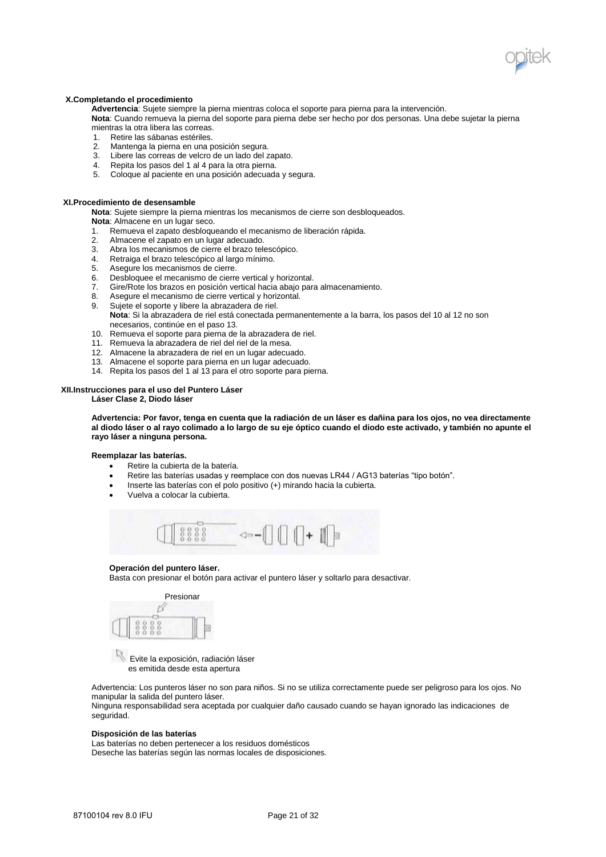

### **X.Completando el procedimiento**

**Advertencia**: Sujete siempre la pierna mientras coloca el soporte para pierna para la intervención. **Nota**: Cuando remueva la pierna del soporte para pierna debe ser hecho por dos personas. Una debe sujetar la pierna

- mientras la otra libera las correas.
- 1. Retire las sábanas estériles.
- 2. Mantenga la pierna en una posición segura.
- 3. Libere las correas de velcro de un lado del zapato.
- 4. Repita los pasos del 1 al 4 para la otra pierna.
- 5. Coloque al paciente en una posición adecuada y segura.

#### **XI.Procedimiento de desensamble**

**Nota**: Sujete siempre la pierna mientras los mecanismos de cierre son desbloqueados.

- **Nota**: Almacene en un lugar seco.
- 1. Remueva el zapato desbloqueando el mecanismo de liberación rápida.<br>2. Almacene el zapato en un lugar adecuado.
- Almacene el zapato en un lugar adecuado.
- 3. Abra los mecanismos de cierre el brazo telescópico.
- 4. Retraiga el brazo telescópico al largo mínimo.
- Asegure los mecanismos de cierre.
- 6. Desbloquee el mecanismo de cierre vertical y horizontal.
- 7. Gire/Rote los brazos en posición vertical hacia abajo para almacenamiento.
- 8. Asegure el mecanismo de cierre vertical y horizontal.<br>9. Sujete el soporte y libere la abrazadera de riel.
- Sujete el soporte y libere la abrazadera de riel. **Nota**: Si la abrazadera de riel está conectada permanentemente a la barra, los pasos del 10 al 12 no son necesarios, continúe en el paso 13.
- 10. Remueva el soporte para pierna de la abrazadera de riel.
- 11. Remueva la abrazadera de riel del riel de la mesa.
- 12. Almacene la abrazadera de riel en un lugar adecuado.
- 13. Almacene el soporte para pierna en un lugar adecuado.
- 14. Repita los pasos del 1 al 13 para el otro soporte para pierna.

## **XII.Instrucciones para el uso del Puntero Láser**

**Láser Clase 2, Diodo láser** 

**Advertencia: Por favor, tenga en cuenta que la radiación de un láser es dañina para los ojos, no vea directamente al diodo láser o al rayo colimado a lo largo de su eje óptico cuando el diodo este activado, y también no apunte el rayo láser a ninguna persona.** 

## **Reemplazar las baterías.**

- Retire la cubierta de la batería.
- Retire las baterías usadas y reemplace con dos nuevas LR44 / AG13 baterías "tipo botón".
- Inserte las baterías con el polo positivo (+) mirando hacia la cubierta.
- Vuelva a colocar la cubierta.



#### **Operación del puntero láser.**

Basta con presionar el botón para activar el puntero láser y soltarlo para desactivar.



 Evite la exposición, radiación láser es emitida desde esta apertura

Advertencia: Los punteros láser no son para niños. Si no se utiliza correctamente puede ser peligroso para los ojos. No manipular la salida del puntero láser.

Ninguna responsabilidad sera aceptada por cualquier daño causado cuando se hayan ignorado las indicaciones de seguridad.

#### **Disposición de las baterías**

Las baterías no deben pertenecer a los residuos domésticos Deseche las baterías según las normas locales de disposiciones.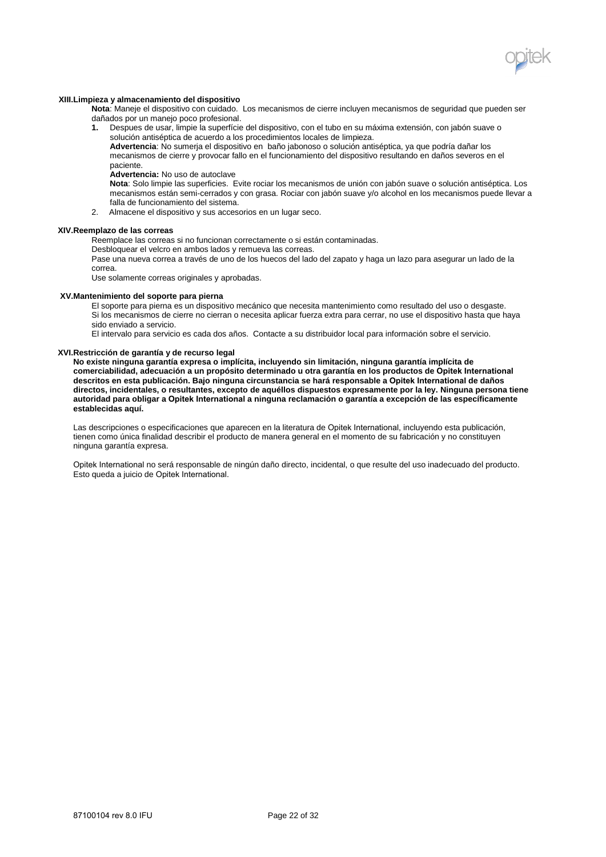

#### **XIII.Limpieza y almacenamiento del dispositivo**

**Nota**: Maneje el dispositivo con cuidado. Los mecanismos de cierre incluyen mecanismos de seguridad que pueden ser dañados por un manejo poco profesional.<br>1. Despues de usar, limpie la superfície

**1.** Despues de usar, limpie la superfície del dispositivo, con el tubo en su máxima extensión, con jabón suave o solución antiséptica de acuerdo a los procedimientos locales de limpieza.

**Advertencia**: No sumerja el dispositivo en baño jabonoso o solución antiséptica, ya que podría dañar los mecanismos de cierre y provocar fallo en el funcionamiento del dispositivo resultando en daños severos en el paciente.

**Advertencia:** No uso de autoclave

**Nota**: Solo limpie las superficies. Evite rociar los mecanismos de unión con jabón suave o solución antiséptica. Los mecanismos están semi-cerrados y con grasa. Rociar con jabón suave y/o alcohol en los mecanismos puede llevar a falla de funcionamiento del sistema.

2. Almacene el dispositivo y sus accesorios en un lugar seco.

#### **XIV.Reemplazo de las correas**

Reemplace las correas si no funcionan correctamente o si están contaminadas.

Desbloquear el velcro en ambos lados y remueva las correas.

Pase una nueva correa a través de uno de los huecos del lado del zapato y haga un lazo para asegurar un lado de la correa.

Use solamente correas originales y aprobadas.

#### **XV.Mantenimiento del soporte para pierna**

El soporte para pierna es un dispositivo mecánico que necesita mantenimiento como resultado del uso o desgaste. Si los mecanismos de cierre no cierran o necesita aplicar fuerza extra para cerrar, no use el dispositivo hasta que haya sido enviado a servicio.

El intervalo para servicio es cada dos años. Contacte a su distribuidor local para información sobre el servicio.

### **XVI.Restricción de garantía y de recurso legal**

**No existe ninguna garantía expresa o implícita, incluyendo sin limitación, ninguna garantía implícita de comerciabilidad, adecuación a un propósito determinado u otra garantía en los productos de Opitek International descritos en esta publicación. Bajo ninguna circunstancia se hará responsable a Opitek International de daños directos, incidentales, o resultantes, excepto de aquéllos dispuestos expresamente por la ley. Ninguna persona tiene autoridad para obligar a Opitek International a ninguna reclamación o garantía a excepción de las específicamente establecidas aquí.**

Las descripciones o especificaciones que aparecen en la literatura de Opitek International, incluyendo esta publicación, tienen como única finalidad describir el producto de manera general en el momento de su fabricación y no constituyen ninguna garantía expresa.

Opitek International no será responsable de ningún daño directo, incidental, o que resulte del uso inadecuado del producto. Esto queda a juicio de Opitek International.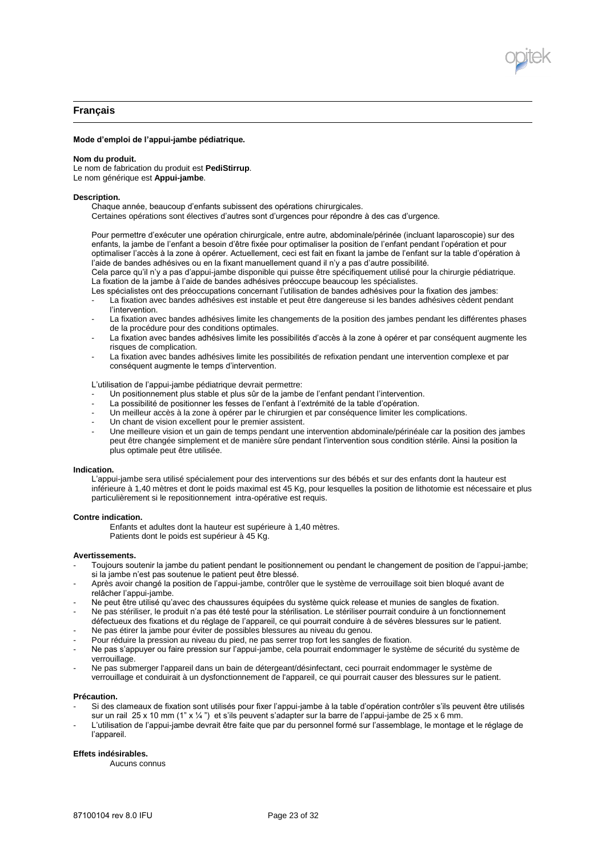

## **Français**

#### **Mode d'emploi de l'appui-jambe pédiatrique.**

#### **Nom du produit.**

Le nom de fabrication du produit est **PediStirrup**. Le nom générique est **Appui-jambe**.

### **Description.**

Chaque année, beaucoup d'enfants subissent des opérations chirurgicales. Certaines opérations sont électives d'autres sont d'urgences pour répondre à des cas d'urgence.

Pour permettre d'exécuter une opération chirurgicale, entre autre, abdominale/périnée (incluant laparoscopie) sur des enfants, la jambe de l'enfant a besoin d'être fixée pour optimaliser la position de l'enfant pendant l'opération et pour optimaliser l'accès à la zone à opérer. Actuellement, ceci est fait en fixant la jambe de l'enfant sur la table d'opération à l'aide de bandes adhésives ou en la fixant manuellement quand il n'y a pas d'autre possibilité.

Cela parce qu'il n'y a pas d'appui-jambe disponible qui puisse être spécifiquement utilisé pour la chirurgie pédiatrique. La fixation de la jambe à l'aide de bandes adhésives préoccupe beaucoup les spécialistes.

Les spécialistes ont des préoccupations concernant l'utilisation de bandes adhésives pour la fixation des jambes:

- La fixation avec bandes adhésives est instable et peut être dangereuse si les bandes adhésives cèdent pendant l'intervention.
- La fixation avec bandes adhésives limite les changements de la position des jambes pendant les différentes phases de la procédure pour des conditions optimales.
- La fixation avec bandes adhésives limite les possibilités d'accès à la zone à opérer et par conséquent augmente les risques de complication.
- La fixation avec bandes adhésives limite les possibilités de refixation pendant une intervention complexe et par conséquent augmente le temps d'intervention.

L'utilisation de l'appui-jambe pédiatrique devrait permettre:

- Un positionnement plus stable et plus sûr de la jambe de l'enfant pendant l'intervention.
- La possibilité de positionner les fesses de l'enfant à l'extrémité de la table d'opération.
- Un meilleur accès à la zone à opérer par le chirurgien et par conséquence limiter les complications.
- Un chant de vision excellent pour le premier assistent.
- Une meilleure vision et un gain de temps pendant une intervention abdominale/périnéale car la position des jambes peut être changée simplement et de manière sûre pendant l'intervention sous condition stérile. Ainsi la position la plus optimale peut être utilisée.

#### **Indication.**

L'appui-jambe sera utilisé spécialement pour des interventions sur des bébés et sur des enfants dont la hauteur est inférieure à 1,40 mètres et dont le poids maximal est 45 Kg, pour lesquelles la position de lithotomie est nécessaire et plus particulièrement si le repositionnement intra-opérative est requis.

### **Contre indication.**

Enfants et adultes dont la hauteur est supérieure à 1,40 mètres. Patients dont le poids est supérieur à 45 Kg.

#### **Avertissements.**

- Toujours soutenir la jambe du patient pendant le positionnement ou pendant le changement de position de l'appui-jambe; si la jambe n'est pas soutenue le patient peut être blessé.
- Après avoir changé la position de l'appui-jambe, contrôler que le système de verrouillage soit bien bloqué avant de relâcher l'appui-jambe.
- Ne peut être utilisé qu'avec des chaussures équipées du système quick release et munies de sangles de fixation.
- Ne pas stériliser, le produit n'a pas été testé pour la stérilisation. Le stériliser pourrait conduire à un fonctionnement défectueux des fixations et du réglage de l'appareil, ce qui pourrait conduire à de sévères blessures sur le patient.
- Ne pas étirer la jambe pour éviter de possibles blessures au niveau du genou.
- Pour réduire la pression au niveau du pied, ne pas serrer trop fort les sangles de fixation.
- Ne pas s'appuyer ou faire pression sur l'appui-jambe, cela pourrait endommager le système de sécurité du système de verrouillage.
- Ne pas submerger l'appareil dans un bain de détergeant/désinfectant, ceci pourrait endommager le système de verrouillage et conduirait à un dysfonctionnement de l'appareil, ce qui pourrait causer des blessures sur le patient.

#### **Précaution.**

- Si des clameaux de fixation sont utilisés pour fixer l'appui-jambe à la table d'opération contrôler s'ils peuvent être utilisés sur un rail 25 x 10 mm (1" x 1/4") et s'ils peuvent s'adapter sur la barre de l'appui-jambe de 25 x 6 mm.
- L'utilisation de l'appui-jambe devrait être faite que par du personnel formé sur l'assemblage, le montage et le réglage de l'appareil.

### **Effets indésirables.**

Aucuns connus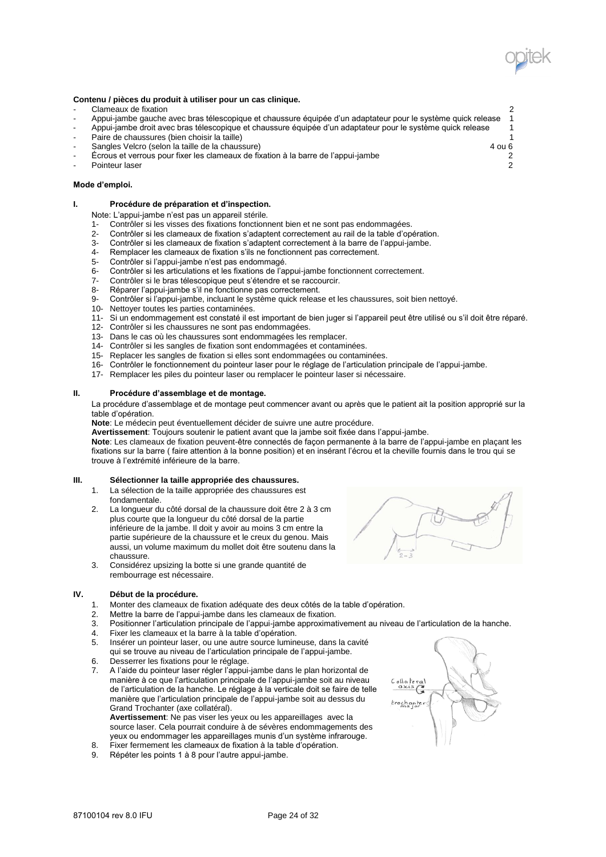

#### **Contenu / pièces du produit à utiliser pour un cas clinique.**

- Clameaux de fixation 2
- Appui-jambe gauche avec bras télescopique et chaussure équipée d'un adaptateur pour le système quick release 1
	- Appui-jambe droit avec bras télescopique et chaussure équipée d'un adaptateur pour le système quick release 1 Paire de chaussures (bien choisir la taille) 1 and 2 and 2 and 2 and 2 and 2 and 2 and 2 and 2 and 2 and 2 and 2 and 2 and 2 and 2 and 2 and 2 and 2 and 2 and 2 and 2 and 2 and 2 and 2 and 2 and 2 and 2 and 2 and 2 and 2 a
- Sangles Velcro (selon la taille de la chaussure) 4 ou 6
- Écrous et verrous pour fixer les clameaux de fixation à la barre de l'appui-jambe 2
- Pointeur laser 2

### **Mode d'emploi.**

## **I. Procédure de préparation et d'inspection.**

Note: L'appui-jambe n'est pas un appareil stérile.

- 1- Contrôler si les visses des fixations fonctionnent bien et ne sont pas endommagées.
- 2- Contrôler si les clameaux de fixation s'adaptent correctement au rail de la table d'opération.<br>3- Contrôler si les clameaux de fixation s'adaptent correctement à la barre de l'appui-jambe.
- 3- Contrôler si les clameaux de fixation s'adaptent correctement à la barre de l'appui-jambe.<br>4- Remplacer les clameaux de fixation s'ils ne fonctionnent pas correctement.
- Remplacer les clameaux de fixation s'ils ne fonctionnent pas correctement.
- 5- Contrôler si l'appui-jambe n'est pas endommagé.
- 6- Contrôler si les articulations et les fixations de l'appui-jambe fonctionnent correctement.<br>7- Contrôler si le bras télescopique peut s'étendre et se raccourcir.
- Contrôler si le bras télescopique peut s'étendre et se raccourcir.
- 8- Réparer l'appui-jambe s'il ne fonctionne pas correctement.
- 9- Contrôler si l'appui-jambe, incluant le système quick release et les chaussures, soit bien nettoyé.
- 10- Nettoyer toutes les parties contaminées.
- 11- Si un endommagement est constaté il est important de bien juger si l'appareil peut être utilisé ou s'il doit être réparé.
- 12- Contrôler si les chaussures ne sont pas endommagées.
- 13- Dans le cas où les chaussures sont endommagées les remplacer.
- 14- Contrôler si les sangles de fixation sont endommagées et contaminées.
- 15- Replacer les sangles de fixation si elles sont endommagées ou contaminées.
- 16- Contrôler le fonctionnement du pointeur laser pour le réglage de l'articulation principale de l'appui-jambe.
- 17- Remplacer les piles du pointeur laser ou remplacer le pointeur laser si nécessaire.

## **II. Procédure d'assemblage et de montage.**

La procédure d'assemblage et de montage peut commencer avant ou après que le patient ait la position approprié sur la table d'opération.

**Note**: Le médecin peut éventuellement décider de suivre une autre procédure.

**Avertissement**: Toujours soutenir le patient avant que la jambe soit fixée dans l'appui-jambe.

**Note**: Les clameaux de fixation peuvent-être connectés de façon permanente à la barre de l'appui-jambe en plaçant les fixations sur la barre ( faire attention à la bonne position) et en insérant l'écrou et la cheville fournis dans le trou qui se trouve à l'extrémité inférieure de la barre.

## **III. Sélectionner la taille appropriée des chaussures.**

- 1. La sélection de la taille appropriée des chaussures est fondamentale.
- 2. La longueur du côté dorsal de la chaussure doit être 2 à 3 cm plus courte que la longueur du côté dorsal de la partie inférieure de la jambe. Il doit y avoir au moins 3 cm entre la partie supérieure de la chaussure et le creux du genou. Mais aussi, un volume maximum du mollet doit être soutenu dans la chaussure.
- 3. Considérez upsizing la botte si une grande quantité de rembourrage est nécessaire.

## **IV. Début de la procédure.**

- 1. Monter des clameaux de fixation adéquate des deux côtés de la table d'opération.
- 2. Mettre la barre de l'appui-jambe dans les clameaux de fixation.
- 3. Positionner l'articulation principale de l'appui-jambe approximativement au niveau de l'articulation de la hanche.<br>4. Eixer les clameaux et la barre à la table d'opération.
- 4. Fixer les clameaux et la barre à la table d'opération.
- 5. Insérer un pointeur laser, ou une autre source lumineuse, dans la cavité qui se trouve au niveau de l'articulation principale de l'appui-jambe.
- 6. Desserrer les fixations pour le réglage.
- 7. A l'aide du pointeur laser régler l'appui-jambe dans le plan horizontal de manière à ce que l'articulation principale de l'appui-jambe soit au niveau de l'articulation de la hanche. Le réglage à la verticale doit se faire de telle manière que l'articulation principale de l'appui-jambe soit au dessus du Grand Trochanter (axe collatéral). **Avertissement**: Ne pas viser les yeux ou les appareillages avec la source laser. Cela pourrait conduire à de sévères endommagements des

yeux ou endommager les appareillages munis d'un système infrarouge. 8. Fixer fermement les clameaux de fixation à la table d'opération.

9. Répéter les points 1 à 8 pour l'autre appui-jambe.



rochante<br>ma for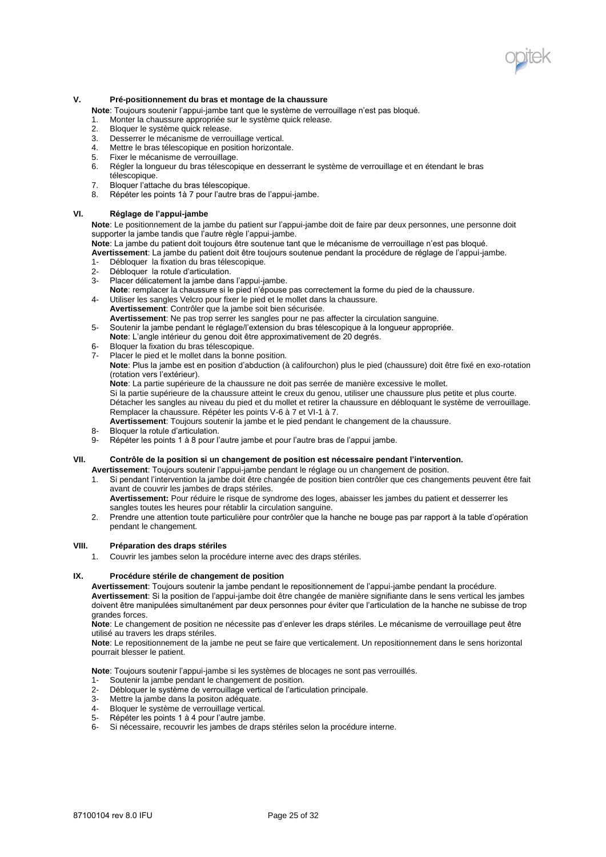

## **V. Pré-positionnement du bras et montage de la chaussure**

**Note**: Toujours soutenir l'appui-jambe tant que le système de verrouillage n'est pas bloqué.

- 1. Monter la chaussure appropriée sur le système quick release.
- 2. Bloquer le système quick release.
- 3. Desserrer le mécanisme de verrouillage vertical.
- 4. Mettre le bras télescopique en position horizontale.
- 5. Fixer le mécanisme de verrouillage.
- 6. Régler la longueur du bras télescopique en desserrant le système de verrouillage et en étendant le bras télescopique.
- 7. Bloquer l'attache du bras télescopique.<br>8. Bénéter les points 1à 7 pour l'autre bra
- Répéter les points 1à 7 pour l'autre bras de l'appui-jambe.

## **VI. Réglage de l'appui-jambe**

**Note**: Le positionnement de la jambe du patient sur l'appui-jambe doit de faire par deux personnes, une personne doit supporter la jambe tandis que l'autre règle l'appui-jambe.

**Note**: La jambe du patient doit toujours être soutenue tant que le mécanisme de verrouillage n'est pas bloqué.

- **Avertissement**: La jambe du patient doit être toujours soutenue pendant la procédure de réglage de l'appui-jambe. 1- Débloquer la fixation du bras télescopique.<br>2- Débloquer la rotule d'articulation.
- Débloquer la rotule d'articulation.
- 3- Placer délicatement la jambe dans l'appui-jambe.
- **Note**: remplacer la chaussure si le pied n'épouse pas correctement la forme du pied de la chaussure.
- 4- Utiliser les sangles Velcro pour fixer le pied et le mollet dans la chaussure. **Avertissement**: Contrôler que la jambe soit bien sécurisée. **Avertissement**: Ne pas trop serrer les sangles pour ne pas affecter la circulation sanguine.
- 5- Soutenir la jambe pendant le réglage/l'extension du bras télescopique à la longueur appropriée.
- **Note**: L'angle intérieur du genou doit être approximativement de 20 degrés.
- 6- Bloquer la fixation du bras télescopique.
- 7- Placer le pied et le mollet dans la bonne position.

**Note**: Plus la jambe est en position d'abduction (à califourchon) plus le pied (chaussure) doit être fixé en exo-rotation (rotation vers l'extérieur).

**Note**: La partie supérieure de la chaussure ne doit pas serrée de manière excessive le mollet.

Si la partie supérieure de la chaussure atteint le creux du genou, utiliser une chaussure plus petite et plus courte. Détacher les sangles au niveau du pied et du mollet et retirer la chaussure en débloquant le système de verrouillage. Remplacer la chaussure. Répéter les points V-6 à 7 et VI-1 à 7.

- **Avertissement**: Toujours soutenir la jambe et le pied pendant le changement de la chaussure.
- 8- Bloquer la rotule d'articulation.<br>9- Répéter les points 1 à 8 nour l'
- Répéter les points 1 à 8 pour l'autre jambe et pour l'autre bras de l'appui jambe.

#### **VII. Contrôle de la position si un changement de position est nécessaire pendant l'intervention.**

**Avertissement**: Toujours soutenir l'appui-jambe pendant le réglage ou un changement de position.

- Si pendant l'intervention la jambe doit être changée de position bien contrôler que ces changements peuvent être fait avant de couvrir les jambes de draps stériles.
- **Avertissement:** Pour réduire le risque de syndrome des loges, abaisser les jambes du patient et desserrer les sangles toutes les heures pour rétablir la circulation sanguine.
- 2. Prendre une attention toute particulière pour contrôler que la hanche ne bouge pas par rapport à la table d'opération pendant le changement.

## **VIII. Préparation des draps stériles**

1. Couvrir les jambes selon la procédure interne avec des draps stériles.

## **IX. Procédure stérile de changement de position**

**Avertissement**: Toujours soutenir la jambe pendant le repositionnement de l'appui-jambe pendant la procédure. **Avertissement**: Si la position de l'appui-jambe doit être changée de manière signifiante dans le sens vertical les jambes doivent être manipulées simultanément par deux personnes pour éviter que l'articulation de la hanche ne subisse de trop grandes forces.

**Note**: Le changement de position ne nécessite pas d'enlever les draps stériles. Le mécanisme de verrouillage peut être utilisé au travers les draps stériles.

**Note**: Le repositionnement de la jambe ne peut se faire que verticalement. Un repositionnement dans le sens horizontal pourrait blesser le patient.

**Note**: Toujours soutenir l'appui-jambe si les systèmes de blocages ne sont pas verrouillés.

- 1- Soutenir la jambe pendant le changement de position.
- 2- Débloquer le système de verrouillage vertical de l'articulation principale.
- 3- Mettre la jambe dans la positon adéquate.
- 4- Bloquer le système de verrouillage vertical.<br>5- Répéter les points 1 à 4 pour l'autre jambe.
- Répéter les points 1 à 4 pour l'autre jambe.
- 6- Si nécessaire, recouvrir les jambes de draps stériles selon la procédure interne.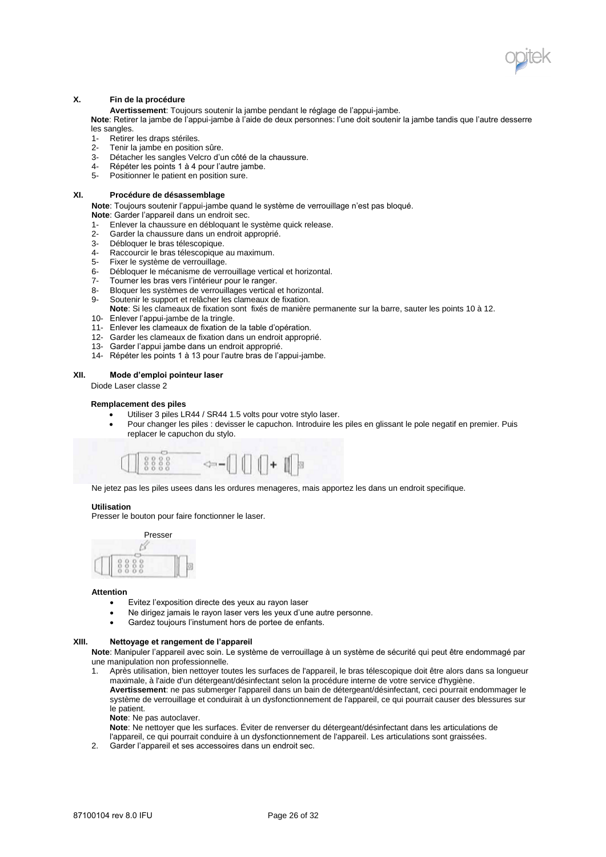

## **X. Fin de la procédure**

**Avertissement**: Toujours soutenir la jambe pendant le réglage de l'appui-jambe.

**Note**: Retirer la jambe de l'appui-jambe à l'aide de deux personnes: l'une doit soutenir la jambe tandis que l'autre desserre les sangles.

- 1- Retirer les draps stériles.
- 2- Tenir la jambe en position sûre.
- 3- Détacher les sangles Velcro d'un côté de la chaussure.
- 4- Répéter les points 1 à 4 pour l'autre jambe.<br>5- Positionner le patient en position sure
- Positionner le patient en position sure.

## **XI. Procédure de désassemblage**

**Note**: Toujours soutenir l'appui-jambe quand le système de verrouillage n'est pas bloqué.

- **Note**: Garder l'appareil dans un endroit sec.
- 1- Enlever la chaussure en débloquant le système quick release.
- 2- Garder la chaussure dans un endroit approprié.<br>3- Débloquer le bras télescopique. Débloquer le bras télescopique.
- 
- 4- Raccourcir le bras télescopique au maximum.<br>5- Fixer le système de verrouillage.
- 5- Fixer le système de verrouillage.<br>6- Débloquer le mécanisme de verr 6- Débloquer le mécanisme de verrouillage vertical et horizontal.<br>7- Tourner les bras vers l'intérieur pour le ranger.
- Tourner les bras vers l'intérieur pour le ranger.
- 8- Bloquer les systèmes de verrouillages vertical et horizontal.<br>9- Soutenir le support et relâcher les clameaux de fixation.
- Soutenir le support et relâcher les clameaux de fixation. **Note**: Si les clameaux de fixation sont fixés de manière permanente sur la barre, sauter les points 10 à 12.
- 10- Enlever l'appui-jambe de la tringle.
- 11- Enlever les clameaux de fixation de la table d'opération.
- 12- Garder les clameaux de fixation dans un endroit approprié.
- 13- Garder l'appui jambe dans un endroit approprié.
- 14- Répéter les points 1 à 13 pour l'autre bras de l'appui-jambe.

### **XII. Mode d'emploi pointeur laser**

Diode Laser classe 2

### **Remplacement des piles**

- Utiliser 3 piles LR44 / SR44 1.5 volts pour votre stylo laser.
- Pour changer les piles : devisser le capuchon. Introduire les piles en glissant le pole negatif en premier. Puis replacer le capuchon du stylo.



Ne jetez pas les piles usees dans les ordures menageres, mais apportez les dans un endroit specifique.

### **Utilisation**

Presser le bouton pour faire fonctionner le laser.



#### **Attention**

- Evitez l'exposition directe des yeux au rayon laser
- Ne dirigez jamais le rayon laser vers les yeux d'une autre personne.
- Gardez toujours l'instument hors de portee de enfants.

## **XIII. Nettoyage et rangement de l'appareil**

**Note**: Manipuler l'appareil avec soin. Le système de verrouillage à un système de sécurité qui peut être endommagé par une manipulation non professionnelle.

1. Après utilisation, bien nettoyer toutes les surfaces de l'appareil, le bras télescopique doit être alors dans sa longueur maximale, à l'aide d'un détergeant/désinfectant selon la procédure interne de votre service d'hygiène. **Avertissement**: ne pas submerger l'appareil dans un bain de détergeant/désinfectant, ceci pourrait endommager le

système de verrouillage et conduirait à un dysfonctionnement de l'appareil, ce qui pourrait causer des blessures sur le patient.

**Note**: Ne pas autoclaver.

**Note**: Ne nettoyer que les surfaces. Éviter de renverser du détergeant/désinfectant dans les articulations de

- l'appareil, ce qui pourrait conduire à un dysfonctionnement de l'appareil. Les articulations sont graissées.
- 2. Garder l'appareil et ses accessoires dans un endroit sec.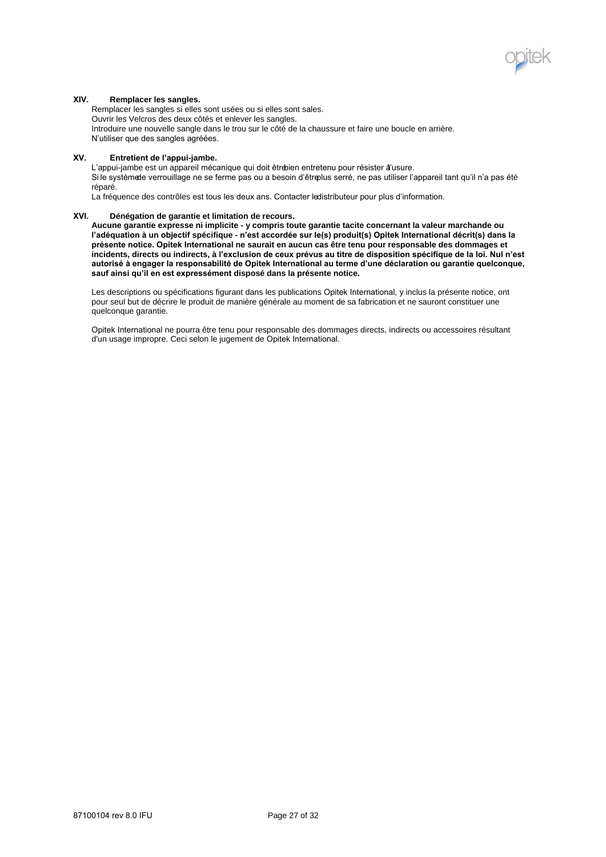

## **XIV. Remplacer les sangles.**

Remplacer les sangles si elles sont usées ou si elles sont sales. Ouvrir les Velcros des deux côtés et enlever les sangles. Introduire une nouvelle sangle dans le trou sur le côté de la chaussure et faire une boucle en arrière. N'utiliser que des sangles agréées.

## **XV. Entretient de l'appui-jambe.**

L'appui-jambe est un appareil mécanique qui doit être dien entretenu pour résister à'usure.

Si le système de verrouillage ne se ferme pas ou a besoin d'être blus serré, ne pas utiliser l'appareil tant qu'il n'a pas été réparé.

La fréquence des contrôles est tous les deux ans. Contacter ledistributeur pour plus d'information.

## **XVI. Dénégation de garantie et limitation de recours.**

**Aucune garantie expresse ni implicite - y compris toute garantie tacite concernant la valeur marchande ou l'adéquation à un objectif spécifique - n'est accordée sur le(s) produit(s) Opitek International décrit(s) dans la présente notice. Opitek International ne saurait en aucun cas être tenu pour responsable des dommages et incidents, directs ou indirects, à l'exclusion de ceux prévus au titre de disposition spécifique de la loi. Nul n'est autorisé à engager la responsabilité de Opitek International au terme d'une déclaration ou garantie quelconque, sauf ainsi qu'il en est expressément disposé dans la présente notice.**

Les descriptions ou spécifications figurant dans les publications Opitek International, y inclus la présente notice, ont pour seul but de décrire le produit de manière générale au moment de sa fabrication et ne sauront constituer une quelconque garantie.

Opitek International ne pourra être tenu pour responsable des dommages directs, indirects ou accessoires résultant d'un usage impropre. Ceci selon le jugement de Opitek International.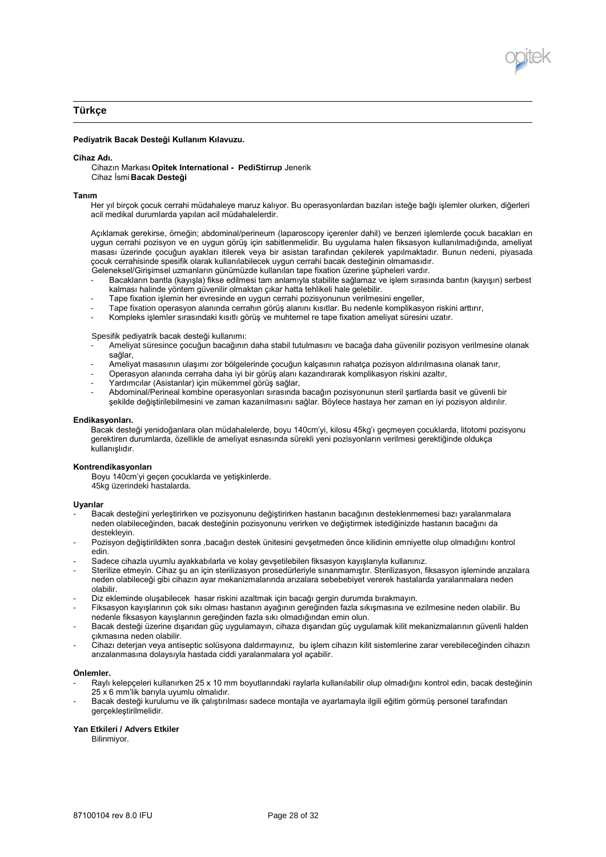

# **Türkçe**

### **Pediyatrik Bacak Desteği Kullanım Kılavuzu.**

#### **Cihaz Adı.**

Cihazın Markası **Opitek International - PediStirrup** Jenerik Cihaz İsmi **Bacak Desteği**

#### **Tanım**

Her yıl birçok çocuk cerrahi müdahaleye maruz kalıyor. Bu operasyonlardan bazıları isteğe bağlı işlemler olurken, diğerleri acil medikal durumlarda yapılan acil müdahalelerdir.

Açıklamak gerekirse, örneğin; abdominal/perineum (laparoscopy içerenler dahil) ve benzeri işlemlerde çocuk bacakları en uygun cerrahi pozisyon ve en uygun görüş için sabitlenmelidir. Bu uygulama halen fiksasyon kullanılmadığında, ameliyat masası üzerinde çocuğun ayakları itilerek veya bir asistan tarafından çekilerek yapılmaktadır. Bunun nedeni, piyasada çocuk cerrahisinde spesifik olarak kullanılabilecek uygun cerrahi bacak desteğinin olmamasıdır.

- Geleneksel/Girişimsel uzmanların günümüzde kullanılan tape fixation üzerine şüpheleri vardır. - Bacakların bantla (kayışla) fikse edilmesi tam anlamıyla stabilite sağlamaz ve işlem sırasında bantın (kayışın) serbest
- kalması halinde yöntem güvenilir olmaktan çıkar hatta tehlikeli hale gelebilir.
- Tape fixation işlemin her evresinde en uygun cerrahi pozisyonunun verilmesini engeller,
- Tape fixation operasyon alanında cerrahın görüş alanını kısıtlar. Bu nedenle komplikasyon riskini arttırır,
- Kompleks işlemler sırasındaki kısıtlı görüş ve muhtemel re tape fixation ameliyat süresini uzatır.

Spesifik pediyatrik bacak desteği kullanımı:

- Ameliyat süresince çocuğun bacağının daha stabil tutulmasını ve bacağa daha güvenilir pozisyon verilmesine olanak sağlar,
- Ameliyat masasının ulaşımı zor bölgelerinde çocuğun kalçasının rahatça pozisyon aldırılmasına olanak tanır,
- Operasyon alanında cerraha daha iyi bir görüş alanı kazandırarak komplikasyon riskini azaltır,
- Yardımcılar (Asistanlar) için mükemmel görüş sağlar,
- Abdominal/Perineal kombine operasyonları sırasında bacağın pozisyonunun steril şartlarda basit ve güvenli bir şekilde değiştirilebilmesini ve zaman kazanılmasını sağlar. Böylece hastaya her zaman en iyi pozisyon aldırılır.

#### **Endikasyonları.**

Bacak desteği yenidoğanlara olan müdahalelerde, boyu 140cm'yi, kilosu 45kg'ı geçmeyen çocuklarda, litotomi pozisyonu gerektiren durumlarda, özellikle de ameliyat esnasında sürekli yeni pozisyonların verilmesi gerektiğinde oldukça kullanışlıdır.

## **Kontrendikasyonları**

Boyu 140cm'yi geçen çocuklarda ve yetişkinlerde. 45kg üzerindeki hastalarda.

## **Uyarılar**

- Bacak desteğini yerleştirirken ve pozisyonunu değiştirirken hastanın bacağının desteklenmemesi bazı yaralanmalara neden olabileceğinden, bacak desteğinin pozisyonunu verirken ve değiştirmek istediğinizde hastanın bacağını da destekleyin.
- Pozisyon değiştirildikten sonra ,bacağın deştek ünitesini gevsetmeden önce kilidinin emniyette olup olmadığını kontrol edin.
- Sadece cihazla uyumlu ayakkabılarla ve kolay gevşetilebilen fiksasyon kayışlarıyla kullanınız.
- Sterilize etmeyin. Cihaz şu an için sterilizasyon prosedürleriyle sınanmamıştır. Sterilizasyon, fiksasyon işleminde arızalara neden olabileceği gibi cihazın ayar mekanizmalarında arızalara sebebebiyet vererek hastalarda yaralanmalara neden olabilir.
- Diz ekleminde oluşabilecek hasar riskini azaltmak için bacağı gergin durumda bırakmayın.
- Fiksasyon kayışlarının çok sıkı olması hastanın ayağının gereğinden fazla sıkışmasına ve ezilmesine neden olabilir. Bu nedenle fiksasyon kayışlarının gereğinden fazla sıkı olmadığından emin olun.
- Bacak desteği üzerine dışarıdan güç uygulamayın, cihaza dışarıdan güç uygulamak kilit mekanizmalarının güvenli halden çıkmasına neden olabilir.
- Cihazı deterjan veya antiseptic solüsyona daldırmayınız, bu işlem cihazın kilit sistemlerine zarar verebileceğinden cihazın arızalanmasına dolaysıyla hastada ciddi yaralanmalara yol açabilir.

#### **Önlemler.**

- Raylı kelepçeleri kullanırken 25 x 10 mm boyutlarındaki raylarla kullanılabilir olup olmadığını kontrol edin, bacak desteğinin 25 x 6 mm'lik barıyla uyumlu olmalıdır.
- Bacak desteği kurulumu ve ilk çalıştırılması sadece montajla ve ayarlamayla ilgili eğitim görmüş personel tarafından gerçekleştirilmelidir.

## **Yan Etkileri / Advers Etkiler**

Bilinmiyor.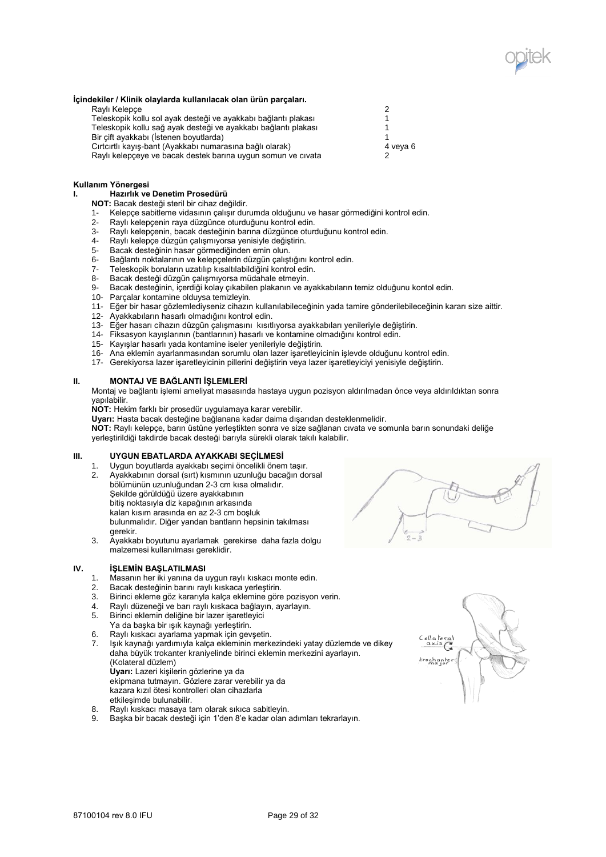

#### **İçindekiler / Klinik olaylarda kullanılacak olan ürün parçaları.**

| 4 veva 6 |
|----------|
|          |
|          |

## **Kullanım Yönergesi**

**I. Hazırlık ve Denetim Prosedürü**

- **NOT:** Bacak desteği steril bir cihaz değildir.
- 1- Kelepçe sabitleme vidasının çalışır durumda olduğunu ve hasar görmediğini kontrol edin.
- 2- Raylı kelepçenin raya düzgünce oturduğunu kontrol edin.
- 3- Raylı kelepçenin, bacak desteğinin barına düzgünce oturduğunu kontrol edin.<br>4- Raylı kelepce düzgün calışmıyorsa venisiyle değiştirin.
- Raylı kelepçe düzgün çalışmıyorsa yenisiyle değiştirin.
- 5- Bacak desteğinin hasar görmediğinden emin olun.
- 6- Bağlantı noktalarının ve kelepçelerin düzgün çalıştığını kontrol edin.<br>7- Teleskopik boruların uzatılıp kısaltılabildiğini kontrol edin.
- 7- Teleskopik boruların uzatılıp kısaltılabildiğini kontrol edin.
- 8- Bacak desteği düzgün çalışmıyorsa müdahale etmeyin.
- 9- Bacak desteğinin, içerdiği kolay çıkabilen plakanın ve ayakkabıların temiz olduğunu kontol edin.
- 10- Parçalar kontamine olduysa temizleyin.
- 11- Eğer bir hasar gözlemlediyseniz cihazın kullanılabileceğinin yada tamire gönderilebileceğinin kararı size aittir.
- 12- Ayakkabıların hasarlı olmadığını kontrol edin.
- 13- Eğer hasarı cihazın düzgün çalışmasını kısıtlıyorsa ayakkabıları yenileriyle değiştirin.
- 14- Fiksasyon kayışlarının (bantlarının) hasarlı ve kontamine olmadığını kontrol edin.
- 15- Kayışlar hasarlı yada kontamine iseler yenileriyle değiştirin.
- 16- Ana eklemin ayarlanmasından sorumlu olan lazer işaretleyicinin işlevde olduğunu kontrol edin.
- 17- Gerekiyorsa lazer işaretleyicinin pillerini değiştirin veya lazer işaretleyiciyi yenisiyle değiştirin.

### **II. MONTAJ VE BAĞLANTI İŞLEMLERİ**

Montaj ve bağlantı işlemi ameliyat masasında hastaya uygun pozisyon aldırılmadan önce veya aldırıldıktan sonra yapılabilir.

**NOT:** Hekim farklı bir prosedür uygulamaya karar verebilir.

**Uyarı:** Hasta bacak desteğine bağlanana kadar daima dışarıdan desteklenmelidir.

**NOT:** Raylı kelepçe, barın üstüne yerleştikten sonra ve size sağlanan cıvata ve somunla barın sonundaki deliğe yerleştirildiği takdirde bacak desteği barıyla sürekli olarak takılı kalabilir.

## **III. UYGUN EBATLARDA AYAKKABI SEÇİLMESİ**

- 
- 1. Uygun boyutlarda ayakkabı seçimi öncelikli önem taşır.<br>2. Avakkabının dorsal (sırt) kısmının uzunluğu bacağın do 2. Ayakkabının dorsal (sırt) kısmının uzunluğu bacağın dorsal bölümünün uzunluğundan 2-3 cm kısa olmalıdır. Şekilde görüldüğü üzere ayakkabının bitiş noktasıyla diz kapağının arkasında kalan kısım arasında en az 2-3 cm boşluk bulunmalıdır. Diğer yandan bantların hepsinin takılması gerekir.
- 3. Ayakkabı boyutunu ayarlamak gerekirse daha fazla dolgu malzemesi kullanılması gereklidir.

## **IV. İŞLEMİN BAŞLATILMASI**

- 1. Masanın her iki yanına da uygun raylı kıskacı monte edin.
- 2. Bacak desteğinin barını raylı kıskaca yerleştirin.
- 3. Birinci ekleme göz kararıyla kalça eklemine göre pozisyon verin.<br>4. Raylı düzeneği ve barı raylı kıskaca bağlayın, ayarlayın.
- 4. Raylı düzeneği ve barı raylı kıskaca bağlayın, ayarlayın.
- 5. Birinci eklemin deliğine bir lazer işaretleyici
- Ya da başka bir ışık kaynağı yerleştirin.
- 6. Raylı kıskacı ayarlama yapmak için gevşetin.
- 7. Işık kaynağı yardımıyla kalça ekleminin merkezindeki yatay düzlemde ve dikey daha büyük trokanter kraniyelinde birinci eklemin merkezini ayarlayın. (Kolateral düzlem)

**Uyarı:** Lazeri kişilerin gözlerine ya da ekipmana tutmayın. Gözlere zarar verebilir ya da kazara kızıl ötesi kontrolleri olan cihazlarla

- etkileşimde bulunabilir.
- 8. Raylı kıskacı masaya tam olarak sıkıca sabitleyin.
- 9. Başka bir bacak desteği için 1'den 8'e kadar olan adımları tekrarlayın.

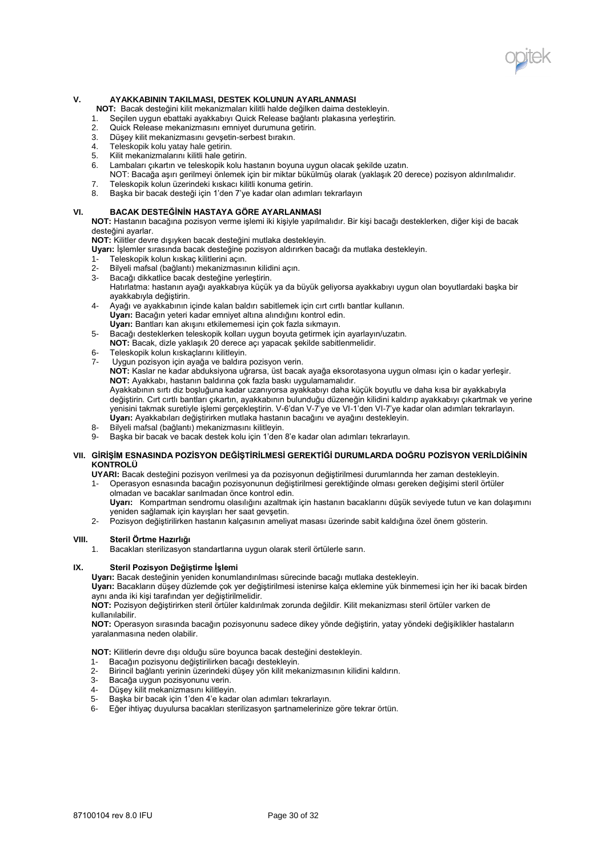

## **V. AYAKKABININ TAKILMASI, DESTEK KOLUNUN AYARLANMASI**

**NOT:** Bacak desteğini kilit mekanizmaları kilitli halde değilken daima destekleyin.

- 1. Seçilen uygun ebattaki ayakkabıyı Quick Release bağlantı plakasına yerleştirin.
- Quick Release mekanizmasını emniyet durumuna getirin.
- 3. Düşey kilit mekanizmasını gevşetin-serbest bırakın.
- 4. Teleskopik kolu yatay hale getirin.
- 5. Kilit mekanizmalarını kilitli hale getirin.
- Lambaları çıkartın ve teleskopik kolu hastanın boyuna uygun olacak şekilde uzatın.
- NOT: Bacağa aşırı gerilmeyi önlemek için bir miktar bükülmüş olarak (yaklaşık 20 derece) pozisyon aldırılmalıdır.
- 7. Teleskopik kolun üzerindeki kıskacı kilitli konuma getirin.<br>8. Baska bir bacak desteği için 1'den 7'ye kadar olan adıml
- 8. Başka bir bacak desteği için 1'den 7'ye kadar olan adımları tekrarlayın

# **VI. BACAK DESTEĞİNİN HASTAYA GÖRE AYARLANMASI**

**NOT:** Hastanın bacağına pozisyon verme işlemi iki kişiyle yapılmalıdır. Bir kişi bacağı desteklerken, diğer kişi de bacak desteğini ayarlar.

**NOT:** Kilitler devre dışıyken bacak desteğini mutlaka destekleyin.

- **Uyarı:** İşlemler sırasında bacak desteğine pozisyon aldırırken bacağı da mutlaka destekleyin.
- 1- Teleskopik kolun kıskaç kilitlerini açın.
- Bilyeli mafsal (bağlantı) mekanizmasının kilidini açın.
- 3- Bacağı dikkatlice bacak desteğine yerleştirin. Hatırlatma: hastanın ayağı ayakkabıya küçük ya da büyük geliyorsa ayakkabıyı uygun olan boyutlardaki başka bir
- ayakkabıyla değiştirin. 4- Ayağı ve ayakkabının içinde kalan baldırı sabitlemek için cırt cırtlı bantlar kullanın. **Uyarı:** Bacağın yeteri kadar emniyet altına alındığını kontrol edin. **Uyarı:** Bantları kan akışını etkilememesi için çok fazla sıkmayın.
- 5- Bacağı desteklerken teleskopik kolları uygun boyuta getirmek için ayarlayın/uzatın.
- **NOT:** Bacak, dizle yaklaşık 20 derece açı yapacak şekilde sabitlenmelidir.
- 
- 6- Teleskopik kolun kıskaçlarını kilitleyin.<br>7- Uvgun pozisyon için ayağa ve baldıra Uygun pozisyon için ayağa ve baldıra pozisyon verin.

**NOT:** Kaslar ne kadar abduksiyona uğrarsa, üst bacak ayağa eksorotasyona uygun olması için o kadar yerleşir. **NOT:** Ayakkabı, hastanın baldırına çok fazla baskı uygulamamalıdır.

Ayakkabının sırtı diz boşluğuna kadar uzanıyorsa ayakkabıyı daha küçük boyutlu ve daha kısa bir ayakkabıyla değiştirin. Cırt cırtlı bantları çıkartın, ayakkabının bulunduğu düzeneğin kilidini kaldırıp ayakkabıyı çıkartmak ve yerine yenisini takmak suretiyle işlemi gerçekleştirin. V-6'dan V-7'ye ve VI-1'den VI-7'ye kadar olan adımları tekrarlayın. **Uyarı:** Ayakkabıları değiştirirken mutlaka hastanın bacağını ve ayağını destekleyin.

- 8- Bilyeli mafsal (bağlantı) mekanizmasını kilitleyin.
- Başka bir bacak ve bacak destek kolu için 1'den 8'e kadar olan adımları tekrarlayın.

## **VII. GİRİŞİM ESNASINDA POZİSYON DEĞİŞTİRİLMESİ GEREKTİĞİ DURUMLARDA DOĞRU POZİSYON VERİLDİĞİNİN KONTROLÜ**

**UYARI:** Bacak desteğini pozisyon verilmesi ya da pozisyonun değiştirilmesi durumlarında her zaman destekleyin.

- 1- Operasyon esnasında bacağın pozisyonunun değiştirilmesi gerektiğinde olması gereken değişimi steril örtüler olmadan ve bacaklar sarılmadan önce kontrol edin.
	- **Uyarı:** Kompartman sendromu olasılığını azaltmak için hastanın bacaklarını düşük seviyede tutun ve kan dolaşımını yeniden sağlamak için kayışları her saat gevşetin.
- 2- Pozisyon değiştirilirken hastanın kalçasının ameliyat masası üzerinde sabit kaldığına özel önem gösterin.

## **VIII. Steril Örtme Hazırlığı**

1. Bacakları sterilizasyon standartlarına uygun olarak steril örtülerle sarın.

## **IX. Steril Pozisyon Değiştirme İşlemi**

**Uyarı:** Bacak desteğinin yeniden konumlandırılması sürecinde bacağı mutlaka destekleyin.

**Uyarı:** Bacakların düşey düzlemde çok yer değiştirilmesi istenirse kalça eklemine yük binmemesi için her iki bacak birden aynı anda iki kişi tarafından yer değiştirilmelidir.

**NOT:** Pozisyon değiştirirken steril örtüler kaldırılmak zorunda değildir. Kilit mekanizması steril örtüler varken de kullanılabilir.

**NOT:** Operasyon sırasında bacağın pozisyonunu sadece dikey yönde değiştirin, yatay yöndeki değişiklikler hastaların yaralanmasına neden olabilir.

**NOT:** Kilitlerin devre dışı olduğu süre boyunca bacak desteğini destekleyin.

- 1- Bacağın pozisyonu değiştirilirken bacağı destekleyin.
- 2- Birincil bağlantı yerinin üzerindeki düşey yön kilit mekanizmasının kilidini kaldırın.
- Bacağa uygun pozisyonunu verin.
- 4- Düşey kilit mekanizmasını kilitleyin.
- 5- Başka bir bacak için 1'den 4'e kadar olan adımları tekrarlayın.
- 6- Eğer ihtiyaç duyulursa bacakları sterilizasyon şartnamelerinize göre tekrar örtün.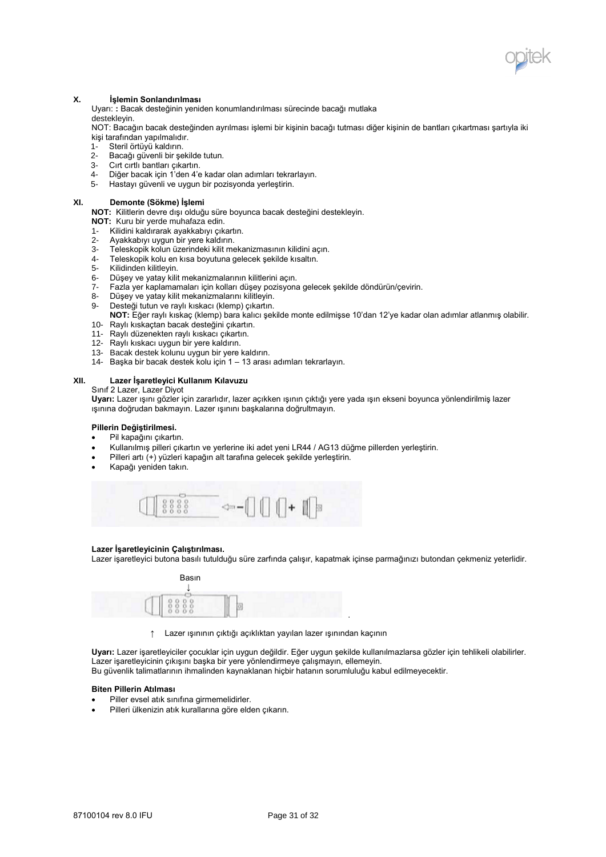

## **X. İşlemin Sonlandırılması**

Uyarı: **:** Bacak desteğinin yeniden konumlandırılması sürecinde bacağı mutlaka destekleyin.

NOT: Bacağın bacak desteğinden ayrılması işlemi bir kişinin bacağı tutması diğer kişinin de bantları çıkartması şartıyla iki kişi tarafından yapılmalıdır.

- 1- Steril örtüyü kaldırın.
- 2- Bacağı güvenli bir şekilde tutun.<br>3- Cırt cırtlı bantları çıkartın.
- 3- Cırt cirtli bantları çıkartın.<br>4- Diğer bacak icin 1'den 4'e
- 4- Diğer bacak için 1'den 4'e kadar olan adımları tekrarlayın.
- 5- Hastayı güvenli ve uygun bir pozisyonda yerleştirin.

## **XI. Demonte (Sökme) İşlemi**

**NOT:** Kilitlerin devre dışı olduğu süre boyunca bacak desteğini destekleyin.

- **NOT:** Kuru bir yerde muhafaza edin.
- 
- 1- Kilidini kaldırarak ayakkabıyı çıkartın.<br>2- Ayakkabıyı uygun bir yere kaldırın. Ayakkabıyı uygun bir yere kaldırın.
- 3- Teleskopik kolun üzerindeki kilit mekanizmasının kilidini açın.
- 4- Teleskopik kolu en kısa boyutuna gelecek şekilde kısaltın.
- 5- Kilidinden kilitleyin.
- 6- Düşey ve yatay kilit mekanizmalarının kilitlerini açın.
- 7- Fazla yer kaplamamaları için kolları düşey pozisyona gelecek şekilde döndürün/çevirin.
- 
- 8- Düşey ve yatay kilit mekanizmalarını kilitleyin.<br>9- Desteği tutun ve raylı kıskacı (klemp) çıkartın. Desteği tutun ve raylı kıskacı (klemp) çıkartın.
- **NOT:** Eğer raylı kıskaç (klemp) bara kalıcı şekilde monte edilmişse 10'dan 12'ye kadar olan adımlar atlanmış olabilir.
- 10- Raylı kıskaçtan bacak desteğini çıkartın.
- 11- Raylı düzenekten raylı kıskacı çıkartın.
- 12- Raylı kıskacı uygun bir yere kaldırın.
- 13- Bacak destek kolunu uygun bir yere kaldırın.
- 14- Başka bir bacak destek kolu için 1 13 arası adımları tekrarlayın.

# **XII. Lazer İşaretleyici Kullanım Kılavuzu**

Sınıf 2 Lazer, Lazer Diyot

**Uyarı:** Lazer ışını gözler için zararlıdır, lazer açıkken ışının çıktığı yere yada ışın ekseni boyunca yönlendirilmiş lazer ışınına doğrudan bakmayın. Lazer ışınını başkalarına doğrultmayın.

## **Pillerin Değiştirilmesi.**

- Pil kapağını çıkartın.
- Kullanılmış pilleri çıkartın ve yerlerine iki adet yeni LR44 / AG13 düğme pillerden yerleştirin.
- Pilleri artı (+) yüzleri kapağın alt tarafına gelecek şekilde yerleştirin.
- Kapağı yeniden takın.



## **Lazer İşaretleyicinin Çalıştırılması.**

Lazer işaretleyici butona basılı tutulduğu süre zarfında çalışır, kapatmak içinse parmağınızı butondan çekmeniz yeterlidir.



↑ Lazer ışınının çıktığı açıklıktan yayılan lazer ışınından kaçının

**Uyarı:** Lazer işaretleyiciler çocuklar için uygun değildir. Eğer uygun şekilde kullanılmazlarsa gözler için tehlikeli olabilirler. Lazer işaretleyicinin çıkışını başka bir yere yönlendirmeye çalışmayın, ellemeyin. Bu güvenlik talimatlarının ihmalinden kaynaklanan hiçbir hatanın sorumluluğu kabul edilmeyecektir.

.

### **Biten Pillerin Atılması**

- Piller evsel atık sınıfına girmemelidirler.
- Pilleri ülkenizin atık kurallarına göre elden çıkarın.